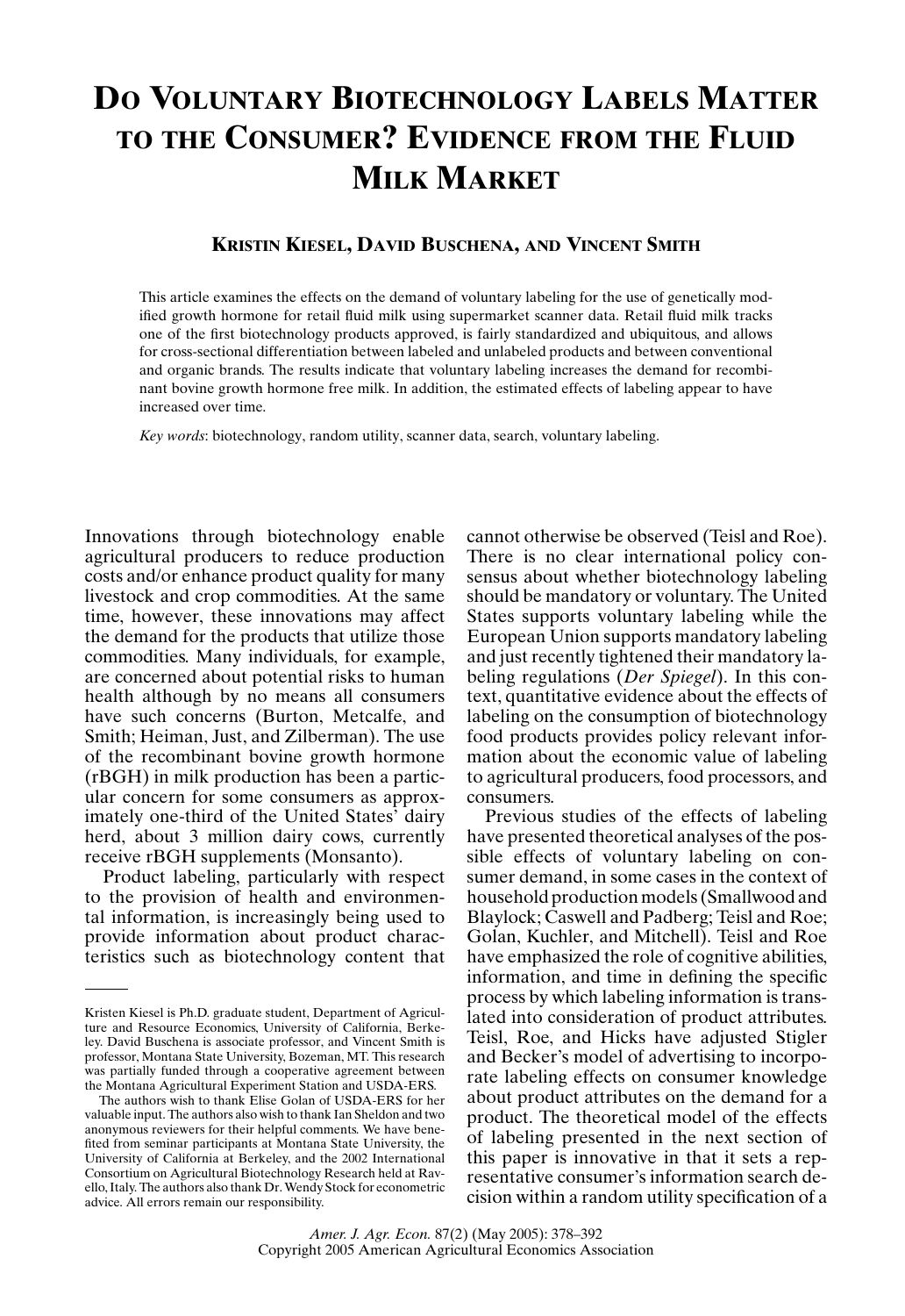# **DO VOLUNTARY BIOTECHNOLOGY LABELS MATTER TO THE CONSUMER? EVIDENCE FROM THE FLUID MILK MARKET**

## **KRISTIN KIESEL, DAVID BUSCHENA, AND VINCENT SMITH**

This article examines the effects on the demand of voluntary labeling for the use of genetically modified growth hormone for retail fluid milk using supermarket scanner data. Retail fluid milk tracks one of the first biotechnology products approved, is fairly standardized and ubiquitous, and allows for cross-sectional differentiation between labeled and unlabeled products and between conventional and organic brands. The results indicate that voluntary labeling increases the demand for recombinant bovine growth hormone free milk. In addition, the estimated effects of labeling appear to have increased over time.

*Key words*: biotechnology, random utility, scanner data, search, voluntary labeling.

Innovations through biotechnology enable agricultural producers to reduce production costs and/or enhance product quality for many livestock and crop commodities. At the same time, however, these innovations may affect the demand for the products that utilize those commodities. Many individuals, for example, are concerned about potential risks to human health although by no means all consumers have such concerns (Burton, Metcalfe, and Smith; Heiman, Just, and Zilberman). The use of the recombinant bovine growth hormone (rBGH) in milk production has been a particular concern for some consumers as approximately one-third of the United States' dairy herd, about 3 million dairy cows, currently receive rBGH supplements (Monsanto).

Product labeling, particularly with respect to the provision of health and environmental information, is increasingly being used to provide information about product characteristics such as biotechnology content that cannot otherwise be observed (Teisl and Roe). There is no clear international policy consensus about whether biotechnology labeling should be mandatory or voluntary. The United States supports voluntary labeling while the European Union supports mandatory labeling and just recently tightened their mandatory labeling regulations (*Der Spiegel*). In this context, quantitative evidence about the effects of labeling on the consumption of biotechnology food products provides policy relevant information about the economic value of labeling to agricultural producers, food processors, and consumers.

Previous studies of the effects of labeling have presented theoretical analyses of the possible effects of voluntary labeling on consumer demand, in some cases in the context of household production models (Smallwood and Blaylock; Caswell and Padberg; Teisl and Roe; Golan, Kuchler, and Mitchell). Teisl and Roe have emphasized the role of cognitive abilities, information, and time in defining the specific process by which labeling information is translated into consideration of product attributes. Teisl, Roe, and Hicks have adjusted Stigler and Becker's model of advertising to incorporate labeling effects on consumer knowledge about product attributes on the demand for a product. The theoretical model of the effects of labeling presented in the next section of this paper is innovative in that it sets a representative consumer's information search decision within a random utility specification of a

Kristen Kiesel is Ph.D. graduate student, Department of Agriculture and Resource Economics, University of California, Berkeley. David Buschena is associate professor, and Vincent Smith is professor, Montana State University, Bozeman, MT. This research was partially funded through a cooperative agreement between the Montana Agricultural Experiment Station and USDA-ERS.

The authors wish to thank Elise Golan of USDA-ERS for her valuable input. The authors also wish to thank Ian Sheldon and two anonymous reviewers for their helpful comments. We have benefited from seminar participants at Montana State University, the University of California at Berkeley, and the 2002 International Consortium on Agricultural Biotechnology Research held at Ravello, Italy. The authors also thank Dr. Wendy Stock for econometric advice. All errors remain our responsibility.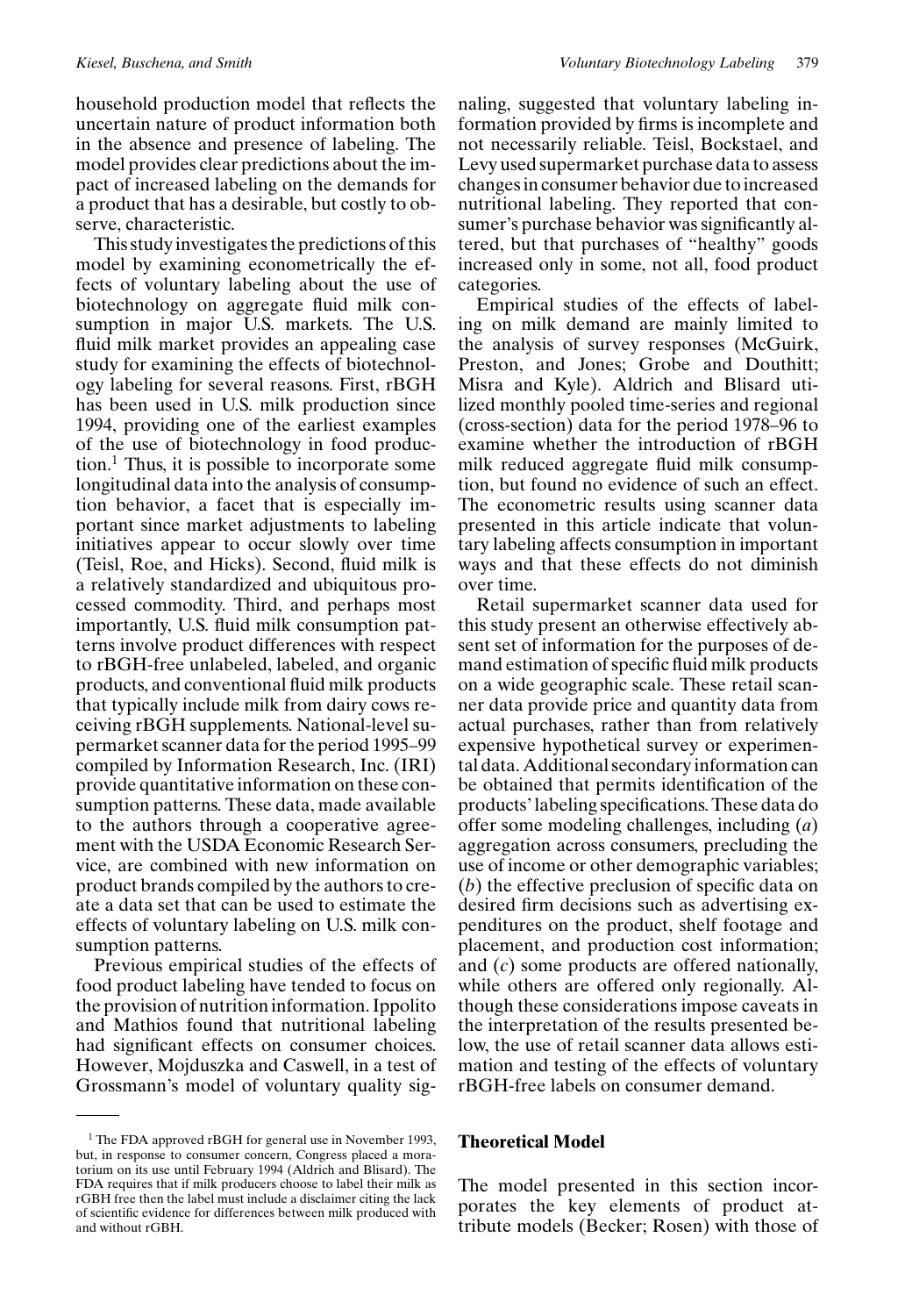household production model that reflects the uncertain nature of product information both in the absence and presence of labeling. The model provides clear predictions about the impact of increased labeling on the demands for a product that has a desirable, but costly to observe, characteristic.

This study investigates the predictions of this model by examining econometrically the effects of voluntary labeling about the use of biotechnology on aggregate fluid milk consumption in major U.S. markets. The U.S. fluid milk market provides an appealing case study for examining the effects of biotechnology labeling for several reasons. First, rBGH has been used in U.S. milk production since 1994, providing one of the earliest examples of the use of biotechnology in food production. $<sup>1</sup>$  Thus, it is possible to incorporate some</sup> longitudinal data into the analysis of consumption behavior, a facet that is especially important since market adjustments to labeling initiatives appear to occur slowly over time (Teisl, Roe, and Hicks). Second, fluid milk is a relatively standardized and ubiquitous processed commodity. Third, and perhaps most importantly, U.S. fluid milk consumption patterns involve product differences with respect to rBGH-free unlabeled, labeled, and organic products, and conventional fluid milk products that typically include milk from dairy cows receiving rBGH supplements. National-level supermarket scanner data for the period 1995–99 compiled by Information Research, Inc. (IRI) provide quantitative information on these consumption patterns. These data, made available to the authors through a cooperative agreement with the USDA Economic Research Service, are combined with new information on product brands compiled by the authors to create a data set that can be used to estimate the effects of voluntary labeling on U.S. milk consumption patterns.

Previous empirical studies of the effects of food product labeling have tended to focus on the provision of nutrition information. Ippolito and Mathios found that nutritional labeling had significant effects on consumer choices. However, Mojduszka and Caswell, in a test of Grossmann's model of voluntary quality signaling, suggested that voluntary labeling information provided by firms is incomplete and not necessarily reliable. Teisl, Bockstael, and Levy used supermarket purchase data to assess changes in consumer behavior due to increased nutritional labeling. They reported that consumer's purchase behavior was significantly altered, but that purchases of "healthy" goods increased only in some, not all, food product categories.

Empirical studies of the effects of labeling on milk demand are mainly limited to the analysis of survey responses (McGuirk, Preston, and Jones; Grobe and Douthitt; Misra and Kyle). Aldrich and Blisard utilized monthly pooled time-series and regional (cross-section) data for the period 1978–96 to examine whether the introduction of rBGH milk reduced aggregate fluid milk consumption, but found no evidence of such an effect. The econometric results using scanner data presented in this article indicate that voluntary labeling affects consumption in important ways and that these effects do not diminish over time.

Retail supermarket scanner data used for this study present an otherwise effectively absent set of information for the purposes of demand estimation of specific fluid milk products on a wide geographic scale. These retail scanner data provide price and quantity data from actual purchases, rather than from relatively expensive hypothetical survey or experimental data. Additional secondary information can be obtained that permits identification of the products' labeling specifications. These data do offer some modeling challenges, including (*a*) aggregation across consumers, precluding the use of income or other demographic variables; (*b*) the effective preclusion of specific data on desired firm decisions such as advertising expenditures on the product, shelf footage and placement, and production cost information; and (*c*) some products are offered nationally, while others are offered only regionally. Although these considerations impose caveats in the interpretation of the results presented below, the use of retail scanner data allows estimation and testing of the effects of voluntary rBGH-free labels on consumer demand.

## **Theoretical Model**

The model presented in this section incorporates the key elements of product attribute models (Becker; Rosen) with those of

<sup>&</sup>lt;sup>1</sup> The FDA approved rBGH for general use in November 1993, but, in response to consumer concern, Congress placed a moratorium on its use until February 1994 (Aldrich and Blisard). The FDA requires that if milk producers choose to label their milk as rGBH free then the label must include a disclaimer citing the lack of scientific evidence for differences between milk produced with and without rGBH.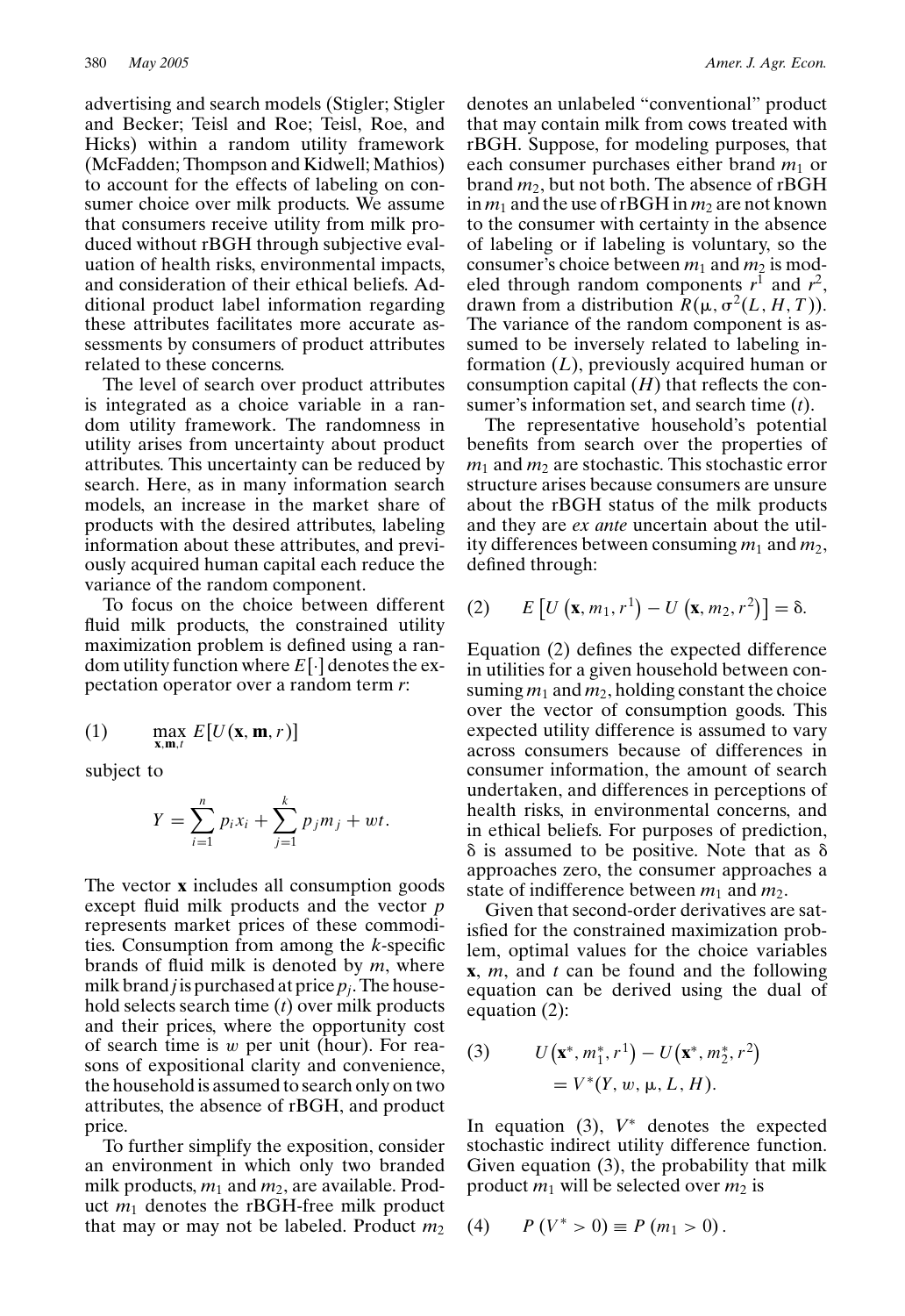advertising and search models (Stigler; Stigler and Becker; Teisl and Roe; Teisl, Roe, and Hicks) within a random utility framework (McFadden; Thompson and Kidwell; Mathios) to account for the effects of labeling on consumer choice over milk products. We assume that consumers receive utility from milk produced without rBGH through subjective evaluation of health risks, environmental impacts, and consideration of their ethical beliefs. Additional product label information regarding these attributes facilitates more accurate assessments by consumers of product attributes related to these concerns.

The level of search over product attributes is integrated as a choice variable in a random utility framework. The randomness in utility arises from uncertainty about product attributes. This uncertainty can be reduced by search. Here, as in many information search models, an increase in the market share of products with the desired attributes, labeling information about these attributes, and previously acquired human capital each reduce the variance of the random component.

To focus on the choice between different fluid milk products, the constrained utility maximization problem is defined using a random utility function where *E*[·] denotes the expectation operator over a random term *r*:

(1) 
$$
\max_{\mathbf{x}, \mathbf{m}, t} E[U(\mathbf{x}, \mathbf{m}, r)]
$$

subject to

$$
Y = \sum_{i=1}^{n} p_i x_i + \sum_{j=1}^{k} p_j m_j + wt.
$$

The vector **x** includes all consumption goods except fluid milk products and the vector *p* represents market prices of these commodities. Consumption from among the *k-*specific brands of fluid milk is denoted by *m*, where milk brand *j* is purchased at price *pj*. The household selects search time (*t*) over milk products and their prices, where the opportunity cost of search time is  $w$  per unit (hour). For reasons of expositional clarity and convenience, the household is assumed to search only on two attributes, the absence of rBGH, and product price.

To further simplify the exposition, consider an environment in which only two branded milk products,  $m_1$  and  $m_2$ , are available. Product  $m_1$  denotes the rBGH-free milk product that may or may not be labeled. Product  $m_2$  denotes an unlabeled "conventional" product that may contain milk from cows treated with rBGH. Suppose, for modeling purposes, that each consumer purchases either brand  $m_1$  or brand  $m_2$ , but not both. The absence of rBGH in  $m_1$  and the use of rBGH in  $m_2$  are not known to the consumer with certainty in the absence of labeling or if labeling is voluntary, so the consumer's choice between  $m_1$  and  $m_2$  is modeled through random components  $r^1$  and  $r^2$ , drawn from a distribution  $R(\mu, \sigma^2(L, H, T))$ . The variance of the random component is assumed to be inversely related to labeling information (*L*), previously acquired human or consumption capital (*H*) that reflects the consumer's information set, and search time (*t*).

The representative household's potential benefits from search over the properties of  $m_1$  and  $m_2$  are stochastic. This stochastic error structure arises because consumers are unsure about the rBGH status of the milk products and they are *ex ante* uncertain about the utility differences between consuming  $m_1$  and  $m_2$ , defined through:

$$
(2) \qquad E\left[U\left(\mathbf{x},m_1,r^1\right)-U\left(\mathbf{x},m_2,r^2\right)\right]=\delta.
$$

Equation (2) defines the expected difference in utilities for a given household between consuming  $m_1$  and  $m_2$ , holding constant the choice over the vector of consumption goods. This expected utility difference is assumed to vary across consumers because of differences in consumer information, the amount of search undertaken, and differences in perceptions of health risks, in environmental concerns, and in ethical beliefs. For purposes of prediction,  $\delta$  is assumed to be positive. Note that as  $\delta$ approaches zero, the consumer approaches a state of indifference between  $m_1$  and  $m_2$ .

Given that second-order derivatives are satisfied for the constrained maximization problem, optimal values for the choice variables **x**, *m*, and *t* can be found and the following equation can be derived using the dual of equation (2):

(3) 
$$
U(\mathbf{x}^*, m_1^*, r^1) - U(\mathbf{x}^*, m_2^*, r^2)
$$

$$
= V^*(Y, w, \mu, L, H).
$$

In equation (3), *V*<sup>∗</sup> denotes the expected stochastic indirect utility difference function. Given equation (3), the probability that milk product  $m_1$  will be selected over  $m_2$  is

(4) 
$$
P(V^* > 0) \equiv P(m_1 > 0)
$$
.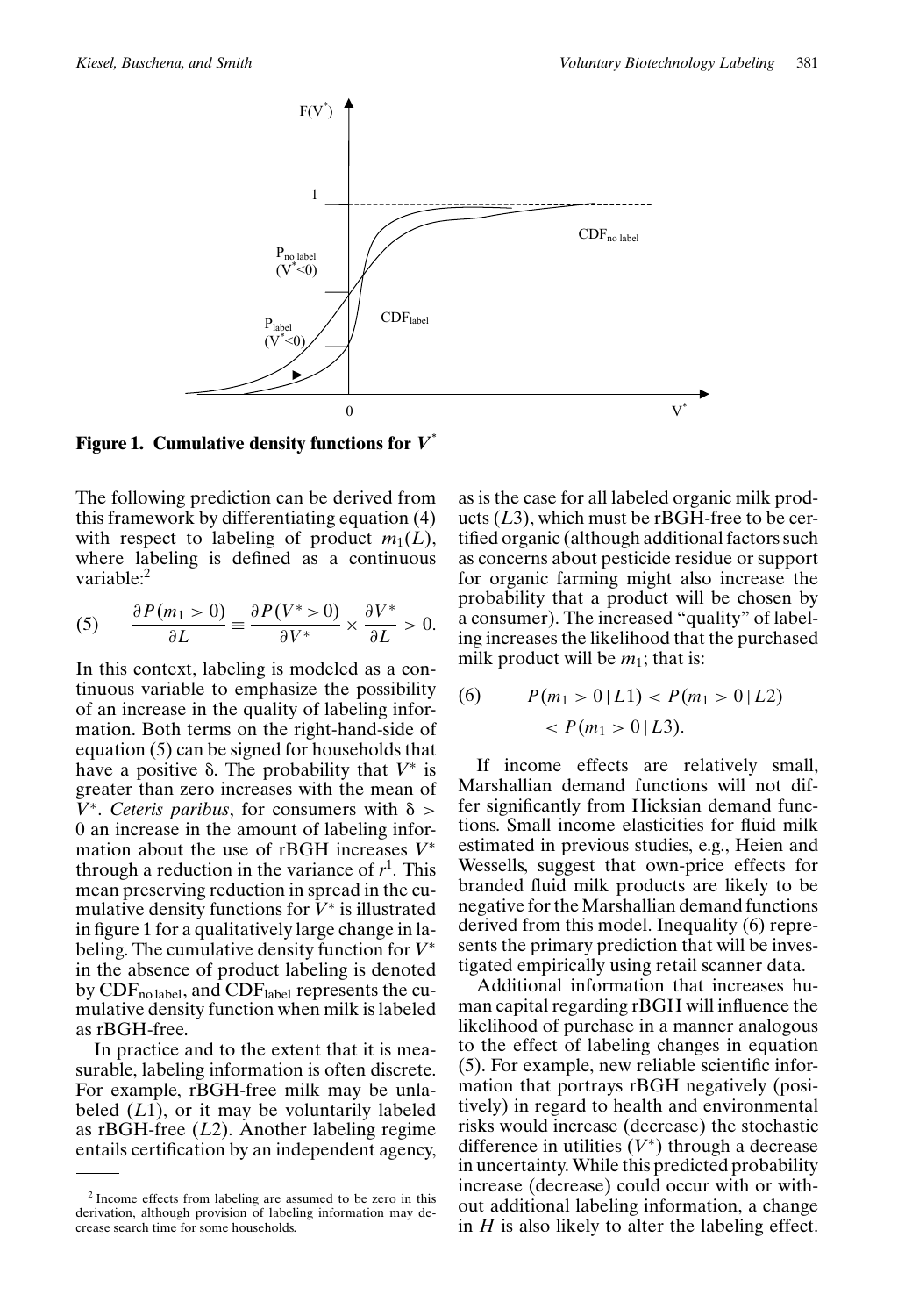

**Figure 1. Cumulative density functions for** *V<sup>∗</sup>*

The following prediction can be derived from this framework by differentiating equation (4) with respect to labeling of product  $m_1(L)$ , where labeling is defined as a continuous variable:<sup>2</sup>

(5) 
$$
\frac{\partial P(m_1 > 0)}{\partial L} \equiv \frac{\partial P(V^* > 0)}{\partial V^*} \times \frac{\partial V^*}{\partial L} > 0.
$$

In this context, labeling is modeled as a continuous variable to emphasize the possibility of an increase in the quality of labeling information. Both terms on the right-hand-side of equation (5) can be signed for households that have a positive  $\delta$ . The probability that  $V^*$  is greater than zero increases with the mean of  $V^*$ . *Ceteris paribus*, for consumers with  $\delta >$ 0 an increase in the amount of labeling information about the use of rBGH increases *V*<sup>∗</sup> through a reduction in the variance of  $r<sup>1</sup>$ . This mean preserving reduction in spread in the cumulative density functions for *V*<sup>∗</sup> is illustrated in figure 1 for a qualitatively large change in labeling. The cumulative density function for *V*<sup>∗</sup> in the absence of product labeling is denoted by  $CDF_{\text{no label}}$ , and  $CDF_{\text{label}}$  represents the cumulative density function when milk is labeled as rBGH-free.

In practice and to the extent that it is measurable, labeling information is often discrete. For example, rBGH-free milk may be unlabeled (*L*1), or it may be voluntarily labeled as rBGH-free (*L*2). Another labeling regime entails certification by an independent agency, as is the case for all labeled organic milk products (*L*3), which must be rBGH-free to be certified organic (although additional factors such as concerns about pesticide residue or support for organic farming might also increase the probability that a product will be chosen by a consumer). The increased "quality" of labeling increases the likelihood that the purchased milk product will be  $m_1$ ; that is:

(6) 
$$
P(m_1 > 0 | L1) < P(m_1 > 0 | L2)
$$

$$
< P(m_1 > 0 | L3).
$$

If income effects are relatively small, Marshallian demand functions will not differ significantly from Hicksian demand functions. Small income elasticities for fluid milk estimated in previous studies, e.g., Heien and Wessells, suggest that own-price effects for branded fluid milk products are likely to be negative for the Marshallian demand functions derived from this model. Inequality (6) represents the primary prediction that will be investigated empirically using retail scanner data.

Additional information that increases human capital regarding rBGH will influence the likelihood of purchase in a manner analogous to the effect of labeling changes in equation (5). For example, new reliable scientific information that portrays rBGH negatively (positively) in regard to health and environmental risks would increase (decrease) the stochastic difference in utilities (*V*∗) through a decrease in uncertainty. While this predicted probability increase (decrease) could occur with or without additional labeling information, a change in *H* is also likely to alter the labeling effect.

<sup>2</sup> Income effects from labeling are assumed to be zero in this derivation, although provision of labeling information may decrease search time for some households.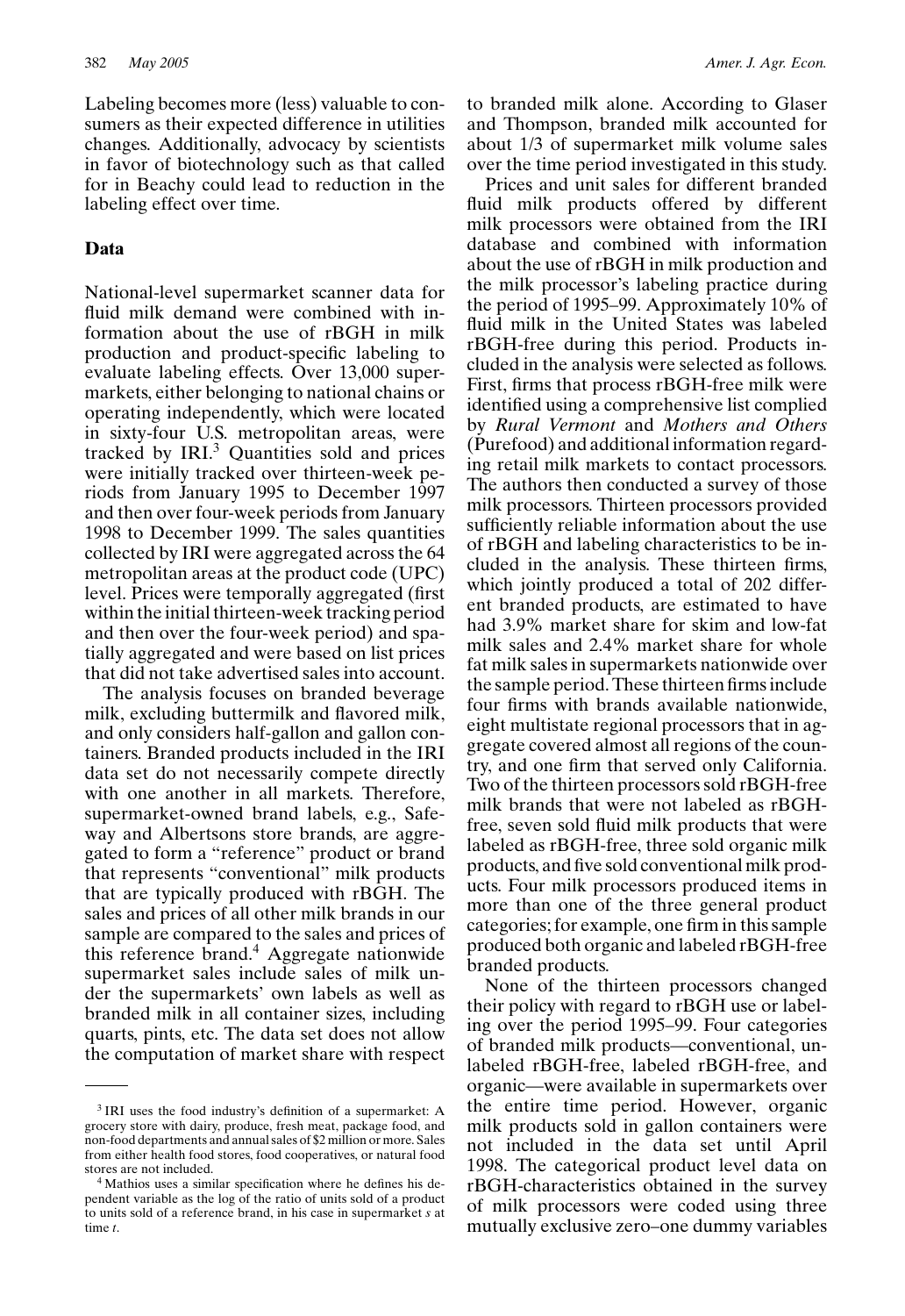Labeling becomes more (less) valuable to consumers as their expected difference in utilities changes. Additionally, advocacy by scientists in favor of biotechnology such as that called for in Beachy could lead to reduction in the labeling effect over time.

## **Data**

National-level supermarket scanner data for fluid milk demand were combined with information about the use of rBGH in milk production and product-specific labeling to evaluate labeling effects. Over 13,000 supermarkets, either belonging to national chains or operating independently, which were located in sixty-four U.S. metropolitan areas, were tracked by  $IRI<sup>3</sup>$  Quantities sold and prices were initially tracked over thirteen-week periods from January 1995 to December 1997 and then over four-week periods from January 1998 to December 1999. The sales quantities collected by IRI were aggregated across the 64 metropolitan areas at the product code (UPC) level. Prices were temporally aggregated (first within the initial thirteen-week tracking period and then over the four-week period) and spatially aggregated and were based on list prices that did not take advertised sales into account.

The analysis focuses on branded beverage milk, excluding buttermilk and flavored milk, and only considers half-gallon and gallon containers. Branded products included in the IRI data set do not necessarily compete directly with one another in all markets. Therefore, supermarket-owned brand labels, e.g., Safeway and Albertsons store brands, are aggregated to form a "reference" product or brand that represents "conventional" milk products that are typically produced with rBGH. The sales and prices of all other milk brands in our sample are compared to the sales and prices of this reference brand.<sup>4</sup> Aggregate nationwide supermarket sales include sales of milk under the supermarkets' own labels as well as branded milk in all container sizes, including quarts, pints, etc. The data set does not allow the computation of market share with respect to branded milk alone. According to Glaser and Thompson, branded milk accounted for about 1/3 of supermarket milk volume sales over the time period investigated in this study.

Prices and unit sales for different branded fluid milk products offered by different milk processors were obtained from the IRI database and combined with information about the use of rBGH in milk production and the milk processor's labeling practice during the period of 1995–99. Approximately 10% of fluid milk in the United States was labeled rBGH-free during this period. Products included in the analysis were selected as follows. First, firms that process rBGH-free milk were identified using a comprehensive list complied by *Rural Vermont* and *Mothers and Others* (Purefood) and additional information regarding retail milk markets to contact processors. The authors then conducted a survey of those milk processors. Thirteen processors provided sufficiently reliable information about the use of rBGH and labeling characteristics to be included in the analysis. These thirteen firms, which jointly produced a total of 202 different branded products, are estimated to have had 3.9% market share for skim and low-fat milk sales and 2.4% market share for whole fat milk sales in supermarkets nationwide over the sample period. These thirteen firms include four firms with brands available nationwide, eight multistate regional processors that in aggregate covered almost all regions of the country, and one firm that served only California. Two of the thirteen processors sold rBGH-free milk brands that were not labeled as rBGHfree, seven sold fluid milk products that were labeled as rBGH-free, three sold organic milk products, and five sold conventional milk products. Four milk processors produced items in more than one of the three general product categories; for example, one firm in this sample produced both organic and labeled rBGH-free branded products.

None of the thirteen processors changed their policy with regard to rBGH use or labeling over the period 1995–99. Four categories of branded milk products—conventional, unlabeled rBGH-free, labeled rBGH-free, and organic—were available in supermarkets over the entire time period. However, organic milk products sold in gallon containers were not included in the data set until April 1998. The categorical product level data on rBGH-characteristics obtained in the survey of milk processors were coded using three mutually exclusive zero–one dummy variables

<sup>3</sup> IRI uses the food industry's definition of a supermarket: A grocery store with dairy, produce, fresh meat, package food, and non-food departments and annual sales of \$2 million or more. Sales from either health food stores, food cooperatives, or natural food stores are not included.

<sup>4</sup> Mathios uses a similar specification where he defines his dependent variable as the log of the ratio of units sold of a product to units sold of a reference brand, in his case in supermarket *s* at time *t*.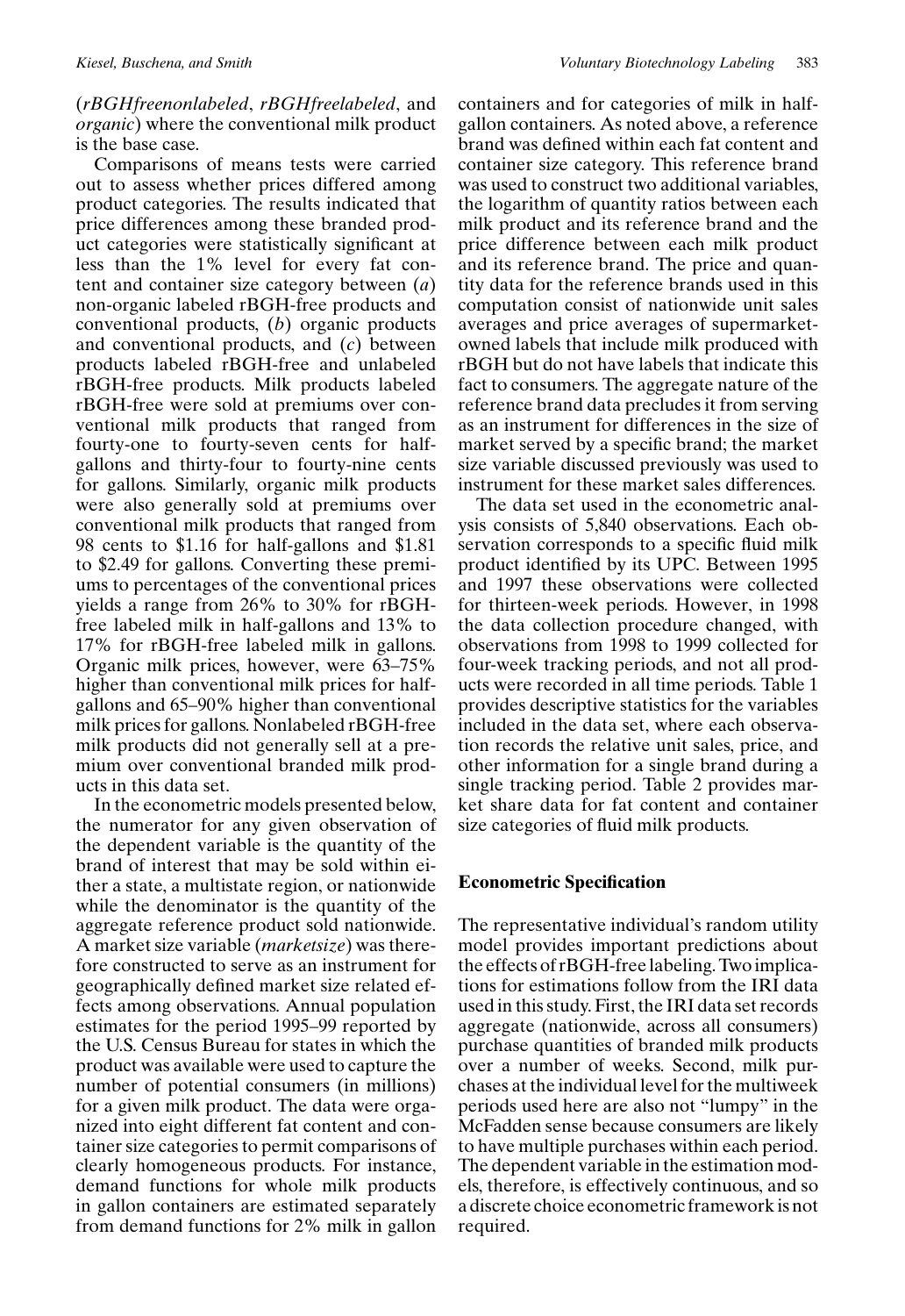## (*rBGHfreenonlabeled*, *rBGHfreelabeled*, and *organic*) where the conventional milk product is the base case.

Comparisons of means tests were carried out to assess whether prices differed among product categories. The results indicated that price differences among these branded product categories were statistically significant at less than the 1% level for every fat content and container size category between (*a*) non-organic labeled rBGH-free products and conventional products, (*b*) organic products and conventional products, and (*c*) between products labeled rBGH-free and unlabeled rBGH-free products. Milk products labeled rBGH-free were sold at premiums over conventional milk products that ranged from fourty-one to fourty-seven cents for halfgallons and thirty-four to fourty-nine cents for gallons. Similarly, organic milk products were also generally sold at premiums over conventional milk products that ranged from 98 cents to \$1.16 for half-gallons and \$1.81 to \$2.49 for gallons. Converting these premiums to percentages of the conventional prices yields a range from 26% to 30% for rBGHfree labeled milk in half-gallons and 13% to 17% for rBGH-free labeled milk in gallons. Organic milk prices, however, were 63–75% higher than conventional milk prices for halfgallons and 65–90% higher than conventional milk prices for gallons. Nonlabeled rBGH-free milk products did not generally sell at a premium over conventional branded milk products in this data set.

In the econometric models presented below, the numerator for any given observation of the dependent variable is the quantity of the brand of interest that may be sold within either a state, a multistate region, or nationwide while the denominator is the quantity of the aggregate reference product sold nationwide. A market size variable (*marketsize*) was therefore constructed to serve as an instrument for geographically defined market size related effects among observations. Annual population estimates for the period 1995–99 reported by the U.S. Census Bureau for states in which the product was available were used to capture the number of potential consumers (in millions) for a given milk product. The data were organized into eight different fat content and container size categories to permit comparisons of clearly homogeneous products. For instance, demand functions for whole milk products in gallon containers are estimated separately from demand functions for 2% milk in gallon containers and for categories of milk in halfgallon containers. As noted above, a reference brand was defined within each fat content and container size category. This reference brand was used to construct two additional variables, the logarithm of quantity ratios between each milk product and its reference brand and the price difference between each milk product and its reference brand. The price and quantity data for the reference brands used in this computation consist of nationwide unit sales averages and price averages of supermarketowned labels that include milk produced with rBGH but do not have labels that indicate this fact to consumers. The aggregate nature of the reference brand data precludes it from serving as an instrument for differences in the size of market served by a specific brand; the market size variable discussed previously was used to instrument for these market sales differences.

The data set used in the econometric analysis consists of 5,840 observations. Each observation corresponds to a specific fluid milk product identified by its UPC. Between 1995 and 1997 these observations were collected for thirteen-week periods. However, in 1998 the data collection procedure changed, with observations from 1998 to 1999 collected for four-week tracking periods, and not all products were recorded in all time periods. Table 1 provides descriptive statistics for the variables included in the data set, where each observation records the relative unit sales, price, and other information for a single brand during a single tracking period. Table 2 provides market share data for fat content and container size categories of fluid milk products.

## **Econometric Specification**

The representative individual's random utility model provides important predictions about the effects of rBGH-free labeling. Two implications for estimations follow from the IRI data used in this study. First, the IRI data set records aggregate (nationwide, across all consumers) purchase quantities of branded milk products over a number of weeks. Second, milk purchases at the individual level for the multiweek periods used here are also not "lumpy" in the McFadden sense because consumers are likely to have multiple purchases within each period. The dependent variable in the estimation models, therefore, is effectively continuous, and so a discrete choice econometric framework is not required.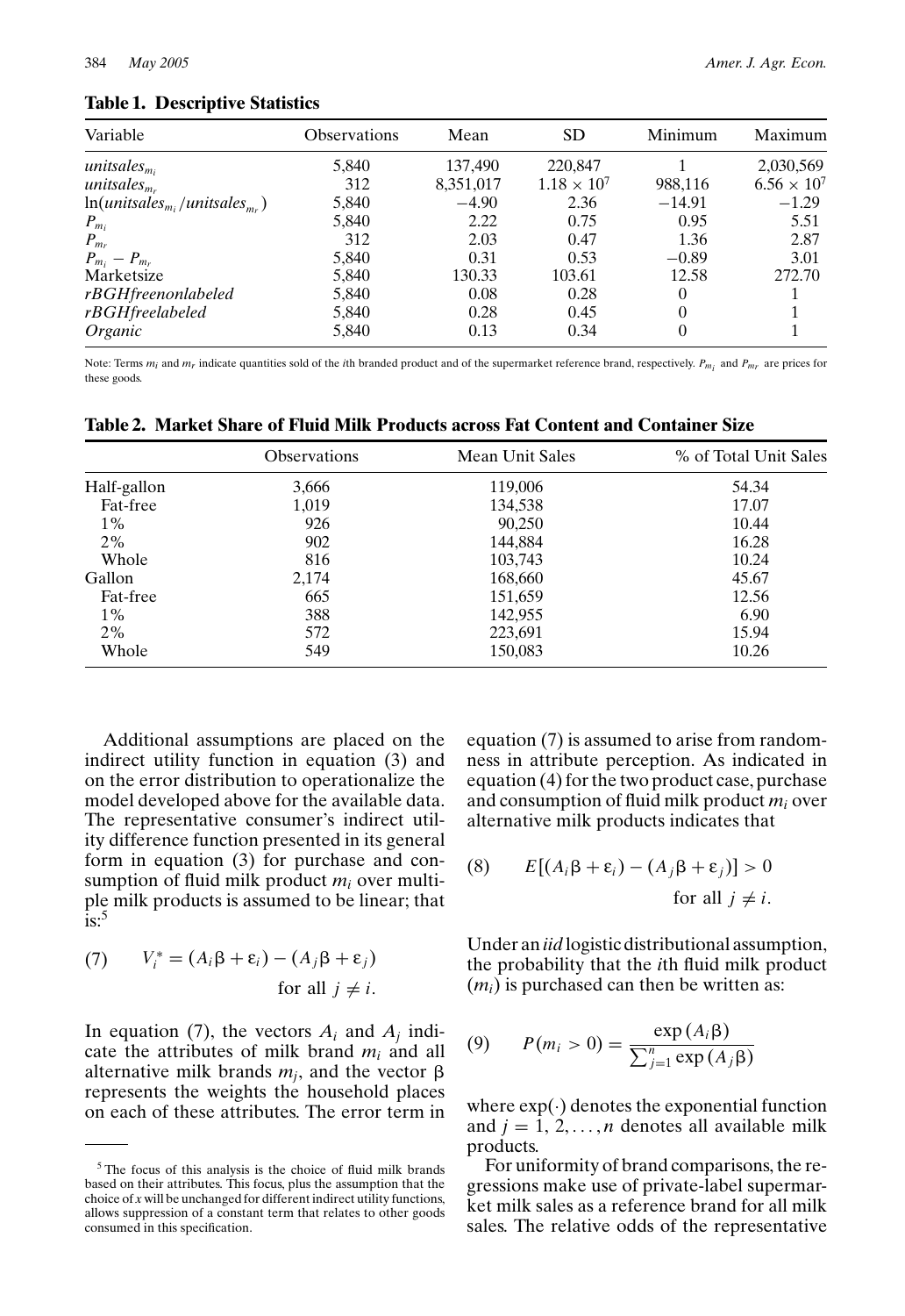## **Table 1. Descriptive Statistics**

| Variable                      | <b>Observations</b> | Mean      | <b>SD</b>            | Minimum  | Maximum              |
|-------------------------------|---------------------|-----------|----------------------|----------|----------------------|
| unitsales $_{m_i}$            | 5,840               | 137,490   | 220,847              |          | 2,030,569            |
| $unitsales_{m}$ .             | 312                 | 8,351,017 | $1.18 \times 10^{7}$ | 988,116  | $6.56 \times 10^{7}$ |
| $ln(unitsalesmi/unitsalesmr)$ | 5,840               | $-4.90$   | 2.36                 | $-14.91$ | $-1.29$              |
| $P_{m_i}$                     | 5,840               | 2.22      | 0.75                 | 0.95     | 5.51                 |
| $P_{m_r}$                     | 312                 | 2.03      | 0.47                 | 1.36     | 2.87                 |
| $P_{m_i} - P_{m_r}$           | 5,840               | 0.31      | 0.53                 | $-0.89$  | 3.01                 |
| Marketsize                    | 5,840               | 130.33    | 103.61               | 12.58    | 272.70               |
| rBGHfreenonlabeled            | 5,840               | 0.08      | 0.28                 | $\theta$ |                      |
| $rBGH$ freelabeled            | 5,840               | 0.28      | 0.45                 | $\theta$ |                      |
| Organic                       | 5,840               | 0.13      | 0.34                 | 0        |                      |

Note: Terms  $m_i$  and  $m_r$  indicate quantities sold of the *i*th branded product and of the supermarket reference brand, respectively.  $P_{m_i}$  and  $P_{m_r}$  are prices for these goods.

|  |  |  | Table 2. Market Share of Fluid Milk Products across Fat Content and Container Size |
|--|--|--|------------------------------------------------------------------------------------|
|  |  |  |                                                                                    |

|             | <b>Observations</b> | Mean Unit Sales | % of Total Unit Sales |
|-------------|---------------------|-----------------|-----------------------|
| Half-gallon | 3,666               | 119,006         | 54.34                 |
| Fat-free    | 1,019               | 134,538         | 17.07                 |
| $1\%$       | 926                 | 90,250          | 10.44                 |
| 2%          | 902                 | 144,884         | 16.28                 |
| Whole       | 816                 | 103,743         | 10.24                 |
| Gallon      | 2,174               | 168,660         | 45.67                 |
| Fat-free    | 665                 | 151,659         | 12.56                 |
| $1\%$       | 388                 | 142,955         | 6.90                  |
| 2%          | 572                 | 223,691         | 15.94                 |
| Whole       | 549                 | 150,083         | 10.26                 |

Additional assumptions are placed on the indirect utility function in equation (3) and on the error distribution to operationalize the model developed above for the available data. The representative consumer's indirect utility difference function presented in its general form in equation (3) for purchase and consumption of fluid milk product *mi* over multiple milk products is assumed to be linear; that  $\frac{1}{1}$ s:<sup>5</sup>

(7) 
$$
V_i^* = (A_i \beta + \varepsilon_i) - (A_j \beta + \varepsilon_j)
$$
  
for all  $j \neq i$ .

In equation (7), the vectors  $A_i$  and  $A_j$  indicate the attributes of milk brand *mi* and all alternative milk brands  $m_i$ , and the vector  $\beta$ represents the weights the household places on each of these attributes. The error term in equation (7) is assumed to arise from randomness in attribute perception. As indicated in equation (4) for the two product case, purchase and consumption of fluid milk product *mi* over alternative milk products indicates that

(8) 
$$
E[(A_i \beta + \varepsilon_i) - (A_j \beta + \varepsilon_j)] > 0
$$
  
for all  $j \neq i$ .

Under an *iid* logistic distributional assumption, the probability that the *i*th fluid milk product  $(m<sub>i</sub>)$  is purchased can then be written as:

$$
(9) \qquad P(m_i > 0) = \frac{\exp(A_i \beta)}{\sum_{j=1}^n \exp(A_j \beta)}
$$

where  $exp(\cdot)$  denotes the exponential function and  $j = 1, 2, \ldots, n$  denotes all available milk products.

For uniformity of brand comparisons, the regressions make use of private-label supermarket milk sales as a reference brand for all milk sales. The relative odds of the representative

<sup>5</sup> The focus of this analysis is the choice of fluid milk brands based on their attributes. This focus, plus the assumption that the choice of *x* will be unchanged for different indirect utility functions, allows suppression of a constant term that relates to other goods consumed in this specification.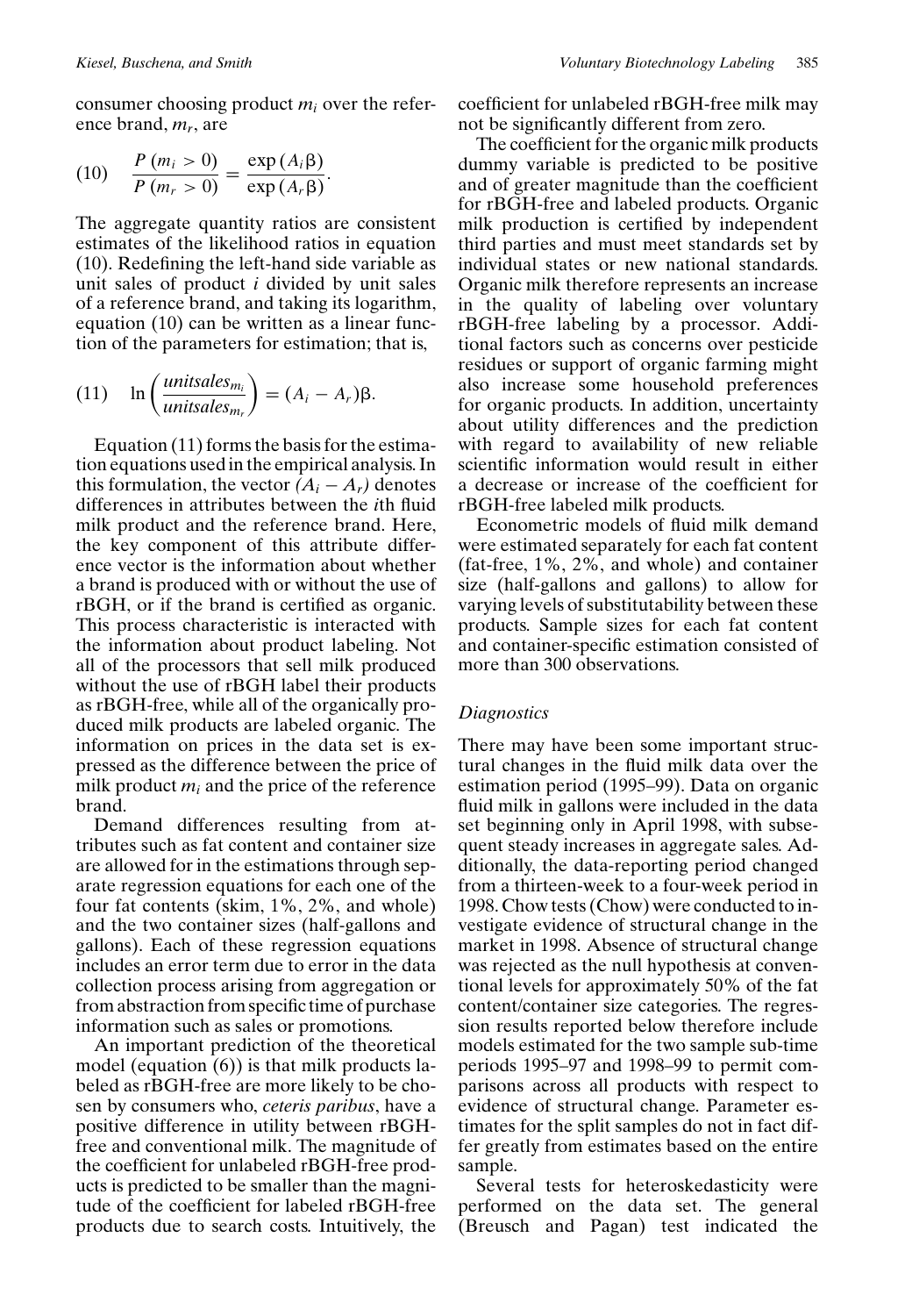consumer choosing product *mi* over the reference brand, *mr*, are

$$
(10) \quad \frac{P(m_i > 0)}{P(m_r > 0)} = \frac{\exp(A_i \beta)}{\exp(A_r \beta)}.
$$

The aggregate quantity ratios are consistent estimates of the likelihood ratios in equation (10). Redefining the left-hand side variable as unit sales of product *i* divided by unit sales of a reference brand, and taking its logarithm, equation (10) can be written as a linear function of the parameters for estimation; that is,

(11) 
$$
\ln\left(\frac{unitsales_{m_i}}{unitsales_{m_r}}\right) = (A_i - A_r)\beta.
$$

Equation (11) forms the basis for the estimation equations used in the empirical analysis. In this formulation, the vector  $(A_i - A_r)$  denotes differences in attributes between the *i*th fluid milk product and the reference brand. Here, the key component of this attribute difference vector is the information about whether a brand is produced with or without the use of rBGH, or if the brand is certified as organic. This process characteristic is interacted with the information about product labeling. Not all of the processors that sell milk produced without the use of rBGH label their products as rBGH-free, while all of the organically produced milk products are labeled organic. The information on prices in the data set is expressed as the difference between the price of milk product  $m_i$  and the price of the reference brand.

Demand differences resulting from attributes such as fat content and container size are allowed for in the estimations through separate regression equations for each one of the four fat contents (skim, 1%, 2%, and whole) and the two container sizes (half-gallons and gallons). Each of these regression equations includes an error term due to error in the data collection process arising from aggregation or from abstraction from specific time of purchase information such as sales or promotions.

An important prediction of the theoretical model (equation (6)) is that milk products labeled as rBGH-free are more likely to be chosen by consumers who, *ceteris paribus*, have a positive difference in utility between rBGHfree and conventional milk. The magnitude of the coefficient for unlabeled rBGH-free products is predicted to be smaller than the magnitude of the coefficient for labeled rBGH-free products due to search costs. Intuitively, the coefficient for unlabeled rBGH-free milk may not be significantly different from zero.

The coefficient for the organic milk products dummy variable is predicted to be positive and of greater magnitude than the coefficient for rBGH-free and labeled products. Organic milk production is certified by independent third parties and must meet standards set by individual states or new national standards. Organic milk therefore represents an increase in the quality of labeling over voluntary rBGH-free labeling by a processor. Additional factors such as concerns over pesticide residues or support of organic farming might also increase some household preferences for organic products. In addition, uncertainty about utility differences and the prediction with regard to availability of new reliable scientific information would result in either a decrease or increase of the coefficient for rBGH-free labeled milk products.

Econometric models of fluid milk demand were estimated separately for each fat content (fat-free, 1%, 2%, and whole) and container size (half-gallons and gallons) to allow for varying levels of substitutability between these products. Sample sizes for each fat content and container-specific estimation consisted of more than 300 observations.

#### *Diagnostics*

There may have been some important structural changes in the fluid milk data over the estimation period (1995–99). Data on organic fluid milk in gallons were included in the data set beginning only in April 1998, with subsequent steady increases in aggregate sales. Additionally, the data-reporting period changed from a thirteen-week to a four-week period in 1998. Chow tests (Chow) were conducted to investigate evidence of structural change in the market in 1998. Absence of structural change was rejected as the null hypothesis at conventional levels for approximately 50% of the fat content/container size categories. The regression results reported below therefore include models estimated for the two sample sub-time periods 1995–97 and 1998–99 to permit comparisons across all products with respect to evidence of structural change. Parameter estimates for the split samples do not in fact differ greatly from estimates based on the entire sample.

Several tests for heteroskedasticity were performed on the data set. The general (Breusch and Pagan) test indicated the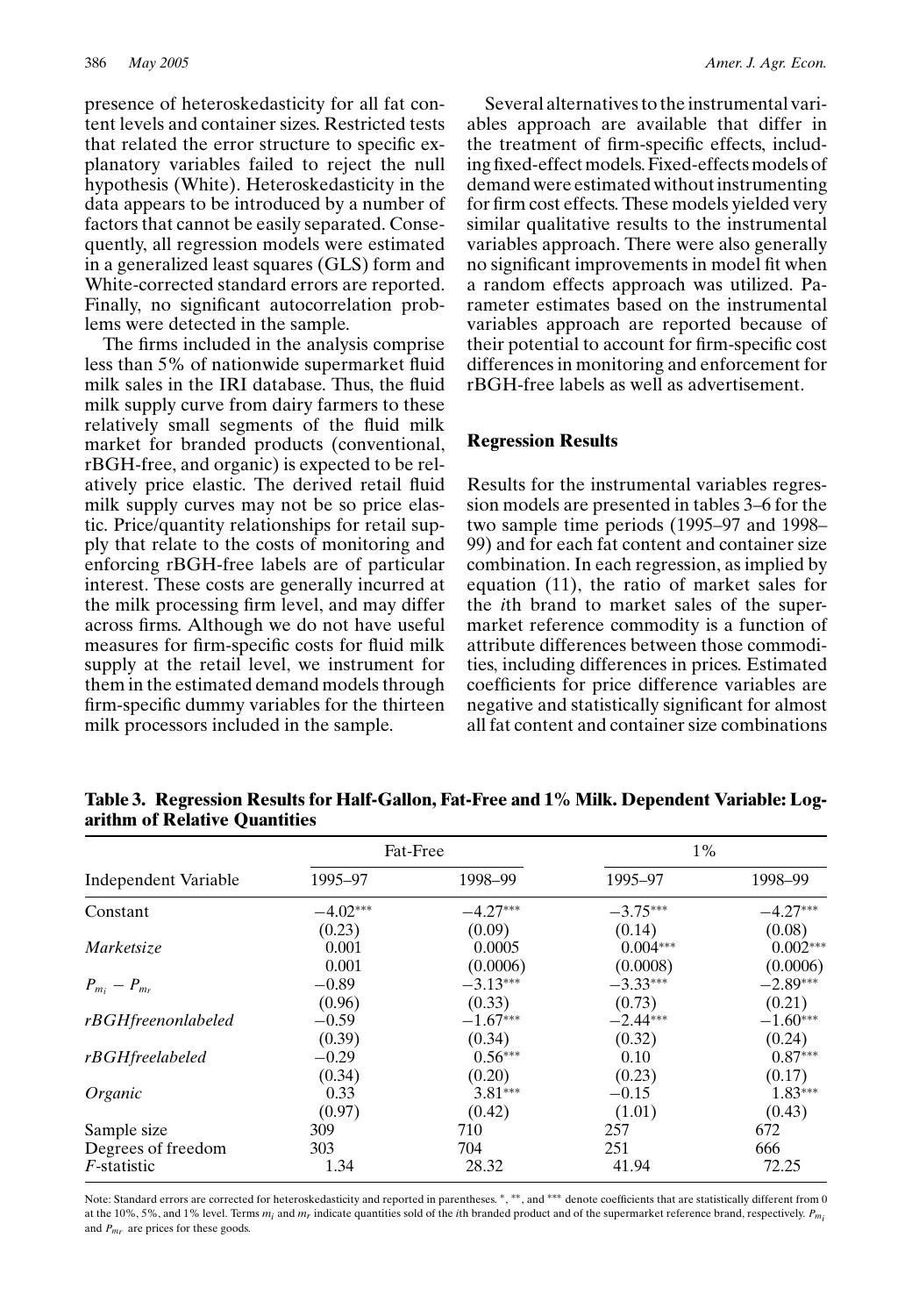presence of heteroskedasticity for all fat content levels and container sizes. Restricted tests that related the error structure to specific explanatory variables failed to reject the null hypothesis (White). Heteroskedasticity in the data appears to be introduced by a number of factors that cannot be easily separated. Consequently, all regression models were estimated in a generalized least squares (GLS) form and White-corrected standard errors are reported. Finally, no significant autocorrelation problems were detected in the sample.

The firms included in the analysis comprise less than 5% of nationwide supermarket fluid milk sales in the IRI database. Thus, the fluid milk supply curve from dairy farmers to these relatively small segments of the fluid milk market for branded products (conventional, rBGH-free, and organic) is expected to be relatively price elastic. The derived retail fluid milk supply curves may not be so price elastic. Price/quantity relationships for retail supply that relate to the costs of monitoring and enforcing rBGH-free labels are of particular interest. These costs are generally incurred at the milk processing firm level, and may differ across firms. Although we do not have useful measures for firm-specific costs for fluid milk supply at the retail level, we instrument for them in the estimated demand models through firm-specific dummy variables for the thirteen milk processors included in the sample.

Several alternatives to the instrumental variables approach are available that differ in the treatment of firm-specific effects, including fixed-effect models. Fixed-effects models of demand were estimated without instrumenting for firm cost effects. These models yielded very similar qualitative results to the instrumental variables approach. There were also generally no significant improvements in model fit when a random effects approach was utilized. Parameter estimates based on the instrumental variables approach are reported because of their potential to account for firm-specific cost differences in monitoring and enforcement for rBGH-free labels as well as advertisement.

### **Regression Results**

Results for the instrumental variables regression models are presented in tables 3–6 for the two sample time periods (1995–97 and 1998– 99) and for each fat content and container size combination. In each regression, as implied by equation (11), the ratio of market sales for the *i*th brand to market sales of the supermarket reference commodity is a function of attribute differences between those commodities, including differences in prices. Estimated coefficients for price difference variables are negative and statistically significant for almost all fat content and container size combinations

|                      |            | Fat-Free   | $1\%$      |            |
|----------------------|------------|------------|------------|------------|
| Independent Variable | 1995-97    | 1998-99    | 1995-97    | 1998-99    |
| Constant             | $-4.02***$ | $-4.27***$ | $-3.75***$ | $-4.27***$ |
|                      | (0.23)     | (0.09)     | (0.14)     | (0.08)     |
| Marketsize           | 0.001      | 0.0005     | $0.004***$ | $0.002***$ |
|                      | 0.001      | (0.0006)   | (0.0008)   | (0.0006)   |
| $P_{m_i} - P_{m_r}$  | $-0.89$    | $-3.13***$ | $-3.33***$ | $-2.89***$ |
|                      | (0.96)     | (0.33)     | (0.73)     | (0.21)     |
| rBGHfreenonlabeled   | $-0.59$    | $-1.67***$ | $-2.44***$ | $-1.60***$ |
|                      | (0.39)     | (0.34)     | (0.32)     | (0.24)     |
| rBGHfreelabeled      | $-0.29$    | $0.56***$  | 0.10       | $0.87***$  |
|                      | (0.34)     | (0.20)     | (0.23)     | (0.17)     |
| Organic              | 0.33       | $3.81***$  | $-0.15$    | $1.83***$  |
|                      | (0.97)     | (0.42)     | (1.01)     | (0.43)     |
| Sample size          | 309        | 710        | 257        | 672        |
| Degrees of freedom   | 303        | 704        | 251        | 666        |
| $F$ -statistic       | 1.34       | 28.32      | 41.94      | 72.25      |

**Table 3. Regression Results for Half-Gallon, Fat-Free and 1% Milk. Dependent Variable: Logarithm of Relative Quantities**

Note: Standard errors are corrected for heteroskedasticity and reported in parentheses. ∗, ∗∗, and ∗∗∗ denote coefficients that are statistically different from 0 at the 10%, 5%, and 1% level. Terms  $m_i$  and  $m_r$  indicate quantities sold of the *i*th branded product and of the supermarket reference brand, respectively.  $P_{m_i}$ and  $P_{mr}$  are prices for these goods.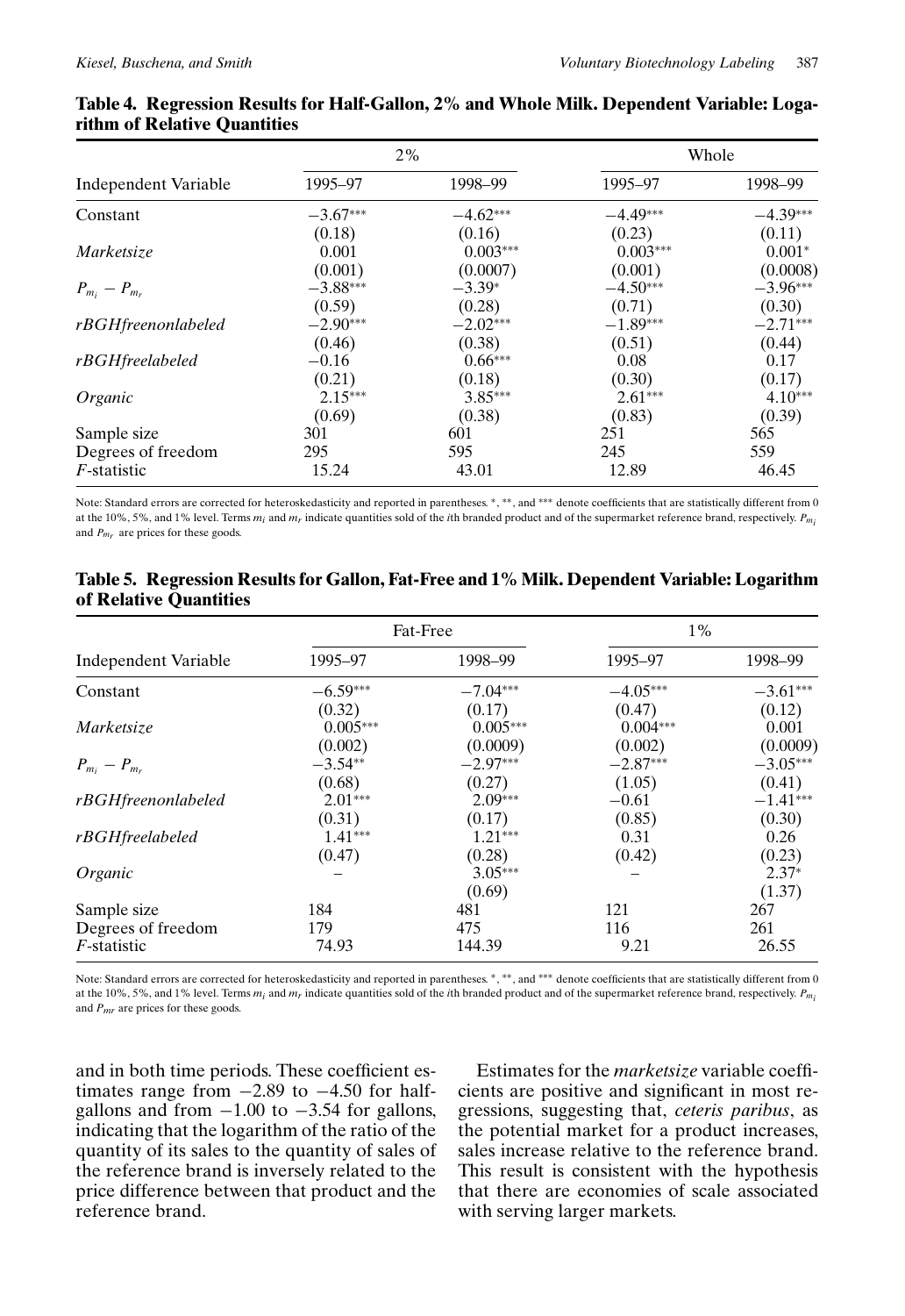|                      |            | 2%         | Whole      |            |
|----------------------|------------|------------|------------|------------|
| Independent Variable | 1995-97    | 1998-99    | 1995-97    | 1998-99    |
| Constant             | $-3.67***$ | $-4.62***$ | $-4.49***$ | $-4.39***$ |
|                      | (0.18)     | (0.16)     | (0.23)     | (0.11)     |
| Marketsize           | 0.001      | $0.003***$ | $0.003***$ | $0.001*$   |
|                      | (0.001)    | (0.0007)   | (0.001)    | (0.0008)   |
| $P_{m_i} - P_{m_r}$  | $-3.88***$ | $-3.39*$   | $-4.50***$ | $-3.96***$ |
|                      | (0.59)     | (0.28)     | (0.71)     | (0.30)     |
| rBGHfreenonlabeled   | $-2.90***$ | $-2.02***$ | $-1.89***$ | $-2.71***$ |
|                      | (0.46)     | (0.38)     | (0.51)     | (0.44)     |
| rBGHfreelabeled      | $-0.16$    | $0.66***$  | 0.08       | 0.17       |
|                      | (0.21)     | (0.18)     | (0.30)     | (0.17)     |
| Organic              | $2.15***$  | $3.85***$  | $2.61***$  | $4.10***$  |
|                      | (0.69)     | (0.38)     | (0.83)     | (0.39)     |
| Sample size          | 301        | 601        | 251        | 565        |
| Degrees of freedom   | 295        | 595        | 245        | 559        |
| $F$ -statistic       | 15.24      | 43.01      | 12.89      | 46.45      |

# **Table 4. Regression Results for Half-Gallon, 2% and Whole Milk. Dependent Variable: Logarithm of Relative Quantities**

Note: Standard errors are corrected for heteroskedasticity and reported in parentheses. \*, \*\*, and \*\*\* denote coefficients that are statistically different from 0 at the 10%, 5%, and 1% level. Terms  $m_i$  and  $m_r$  indicate quantities sold of the *i*th branded product and of the supermarket reference brand, respectively.  $P_{m_i}$ and  $P_{mr}$  are prices for these goods.

|                      |            | Fat-Free   | $1\%$      |            |
|----------------------|------------|------------|------------|------------|
| Independent Variable | 1995-97    | 1998-99    | 1995-97    | 1998-99    |
| Constant             | $-6.59***$ | $-7.04***$ | $-4.05***$ | $-3.61***$ |
|                      | (0.32)     | (0.17)     | (0.47)     | (0.12)     |
| Marketsize           | $0.005***$ | $0.005***$ | $0.004***$ | 0.001      |
|                      | (0.002)    | (0.0009)   | (0.002)    | (0.0009)   |
| $P_{m_i} - P_{m_r}$  | $-3.54**$  | $-2.97***$ | $-2.87***$ | $-3.05***$ |
|                      | (0.68)     | (0.27)     | (1.05)     | (0.41)     |
| rBGHfreenonlabeled   | $2.01***$  | $2.09***$  | $-0.61$    | $-1.41***$ |
|                      | (0.31)     | (0.17)     | (0.85)     | (0.30)     |
| rBGHfreelabeled      | $1.41***$  | $1.21***$  | 0.31       | 0.26       |
|                      | (0.47)     | (0.28)     | (0.42)     | (0.23)     |
| Organic              |            | $3.05***$  |            | $2.37*$    |
|                      |            | (0.69)     |            | (1.37)     |
| Sample size          | 184        | 481        | 121        | 267        |
| Degrees of freedom   | 179        | 475        | 116        | 261        |
| $F$ -statistic       | 74.93      | 144.39     | 9.21       | 26.55      |

# **Table 5. Regression Results for Gallon, Fat-Free and 1% Milk. Dependent Variable: Logarithm of Relative Quantities**

Note: Standard errors are corrected for heteroskedasticity and reported in parentheses. \*, \*\*, and \*\*\* denote coefficients that are statistically different from 0 at the 10%, 5%, and 1% level. Terms  $m_i$  and  $m_r$  indicate quantities sold of the *i*th branded product and of the supermarket reference brand, respectively.  $P_{m_i}$ and *Pmr* are prices for these goods.

and in both time periods. These coefficient estimates range from  $-2.89$  to  $-4.50$  for halfgallons and from  $-1.00$  to  $-3.54$  for gallons, indicating that the logarithm of the ratio of the quantity of its sales to the quantity of sales of the reference brand is inversely related to the price difference between that product and the reference brand.

Estimates for the *marketsize* variable coefficients are positive and significant in most regressions, suggesting that, *ceteris paribus*, as the potential market for a product increases, sales increase relative to the reference brand. This result is consistent with the hypothesis that there are economies of scale associated with serving larger markets.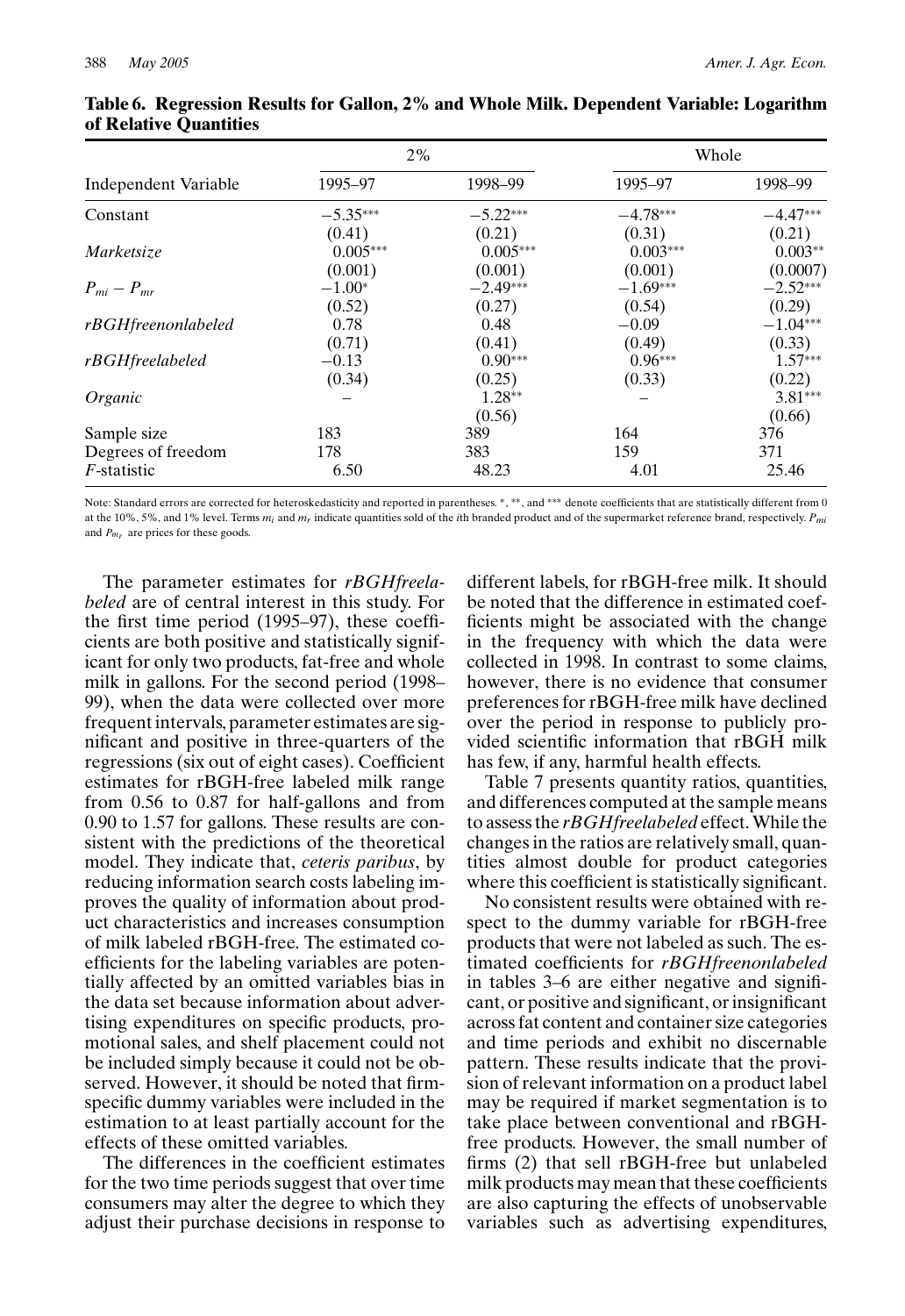|                      | 2%         |            | Whole      |            |
|----------------------|------------|------------|------------|------------|
| Independent Variable | 1995-97    | 1998-99    | 1995-97    | 1998-99    |
| Constant             | $-5.35***$ | $-5.22***$ | $-4.78***$ | $-4.47***$ |
|                      | (0.41)     | (0.21)     | (0.31)     | (0.21)     |
| Marketsize           | $0.005***$ | $0.005***$ | $0.003***$ | $0.003**$  |
|                      | (0.001)    | (0.001)    | (0.001)    | (0.0007)   |
| $P_{mi}-P_{mr}$      | $-1.00*$   | $-2.49***$ | $-1.69***$ | $-2.52***$ |
|                      | (0.52)     | (0.27)     | (0.54)     | (0.29)     |
| rBGHfreenonlabeled   | 0.78       | 0.48       | $-0.09$    | $-1.04***$ |
|                      | (0.71)     | (0.41)     | (0.49)     | (0.33)     |
| rBGHfreelabeled      | $-0.13$    | $0.90***$  | $0.96***$  | $1.57***$  |
|                      | (0.34)     | (0.25)     | (0.33)     | (0.22)     |
| Organic              |            | $1.28**$   |            | $3.81***$  |
|                      |            | (0.56)     |            | (0.66)     |
| Sample size          | 183        | 389        | 164        | 376        |
| Degrees of freedom   | 178        | 383        | 159        | 371        |
| $F$ -statistic       | 6.50       | 48.23      | 4.01       | 25.46      |

## **Table 6. Regression Results for Gallon, 2% and Whole Milk. Dependent Variable: Logarithm of Relative Quantities**

Note: Standard errors are corrected for heteroskedasticity and reported in parentheses. \*, \*\*, and \*\*\* denote coefficients that are statistically different from 0 at the 10%, 5%, and 1% level. Terms  $m_i$  and  $m_r$  indicate quantities sold of the *i*th branded product and of the supermarket reference brand, respectively.  $P_{mi}$ and  $P_{m_r}$  are prices for these goods.

The parameter estimates for *rBGHfreelabeled* are of central interest in this study. For the first time period (1995–97), these coefficients are both positive and statistically significant for only two products, fat-free and whole milk in gallons. For the second period (1998– 99), when the data were collected over more frequent intervals, parameter estimates are significant and positive in three-quarters of the regressions (six out of eight cases). Coefficient estimates for rBGH-free labeled milk range from 0.56 to 0.87 for half-gallons and from 0.90 to 1.57 for gallons. These results are consistent with the predictions of the theoretical model. They indicate that, *ceteris paribus*, by reducing information search costs labeling improves the quality of information about product characteristics and increases consumption of milk labeled rBGH-free. The estimated coefficients for the labeling variables are potentially affected by an omitted variables bias in the data set because information about advertising expenditures on specific products, promotional sales, and shelf placement could not be included simply because it could not be observed. However, it should be noted that firmspecific dummy variables were included in the estimation to at least partially account for the effects of these omitted variables.

The differences in the coefficient estimates for the two time periods suggest that over time consumers may alter the degree to which they adjust their purchase decisions in response to

different labels, for rBGH-free milk. It should be noted that the difference in estimated coefficients might be associated with the change in the frequency with which the data were collected in 1998. In contrast to some claims, however, there is no evidence that consumer preferences for rBGH-free milk have declined over the period in response to publicly provided scientific information that rBGH milk has few, if any, harmful health effects.

Table 7 presents quantity ratios, quantities, and differences computed at the sample means to assess the *rBGHfreelabeled* effect. While the changes in the ratios are relatively small, quantities almost double for product categories where this coefficient is statistically significant.

No consistent results were obtained with respect to the dummy variable for rBGH-free products that were not labeled as such. The estimated coefficients for *rBGHfreenonlabeled* in tables 3–6 are either negative and significant, or positive and significant, or insignificant across fat content and container size categories and time periods and exhibit no discernable pattern. These results indicate that the provision of relevant information on a product label may be required if market segmentation is to take place between conventional and rBGHfree products. However, the small number of firms (2) that sell rBGH-free but unlabeled milk products may mean that these coefficients are also capturing the effects of unobservable variables such as advertising expenditures,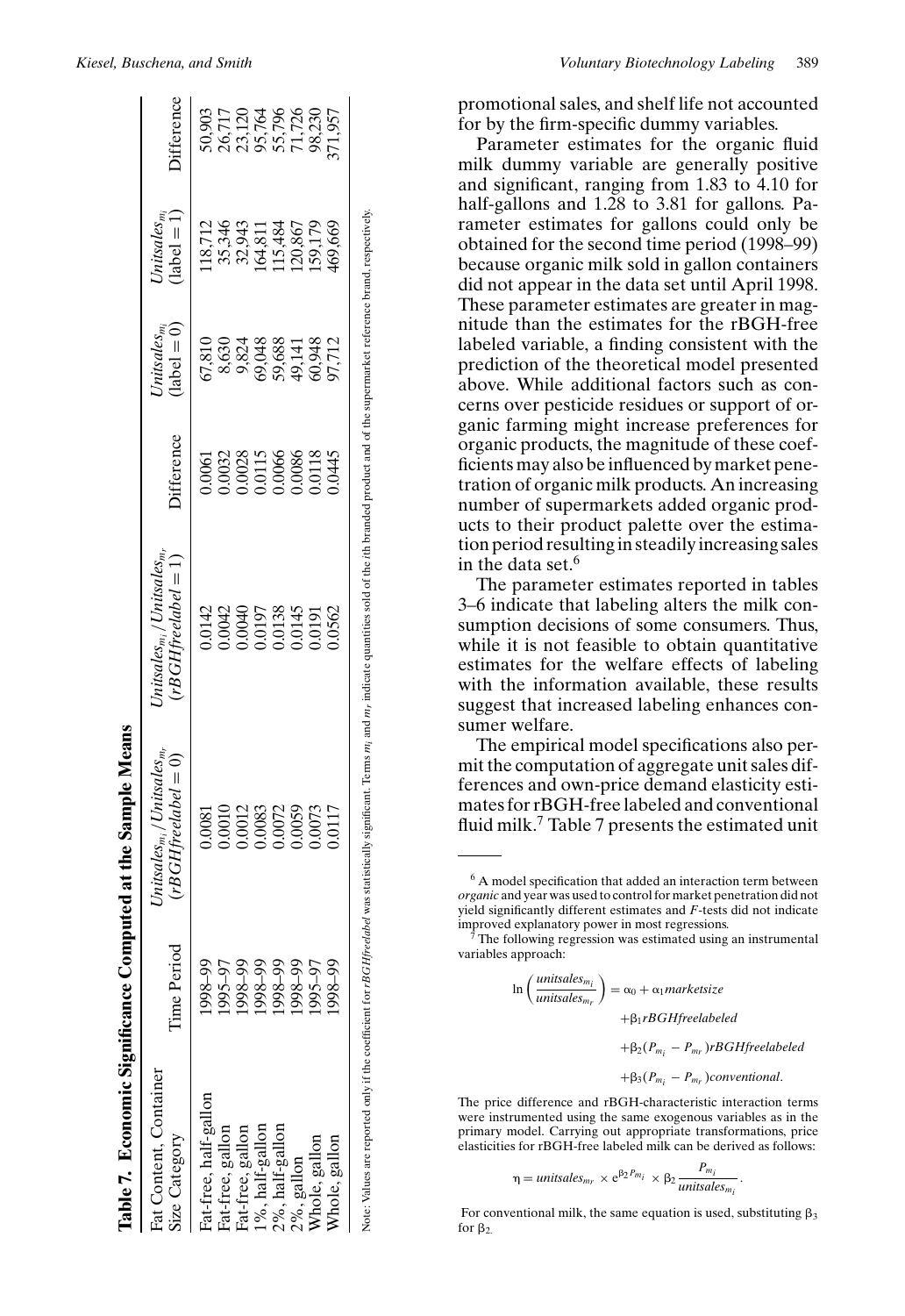|                                                                       |                               | Table 7. Economic Significance Computed at the Sample Means |                                                                                                                                                        |                                                                    |                                                                          |                                                                |                                                           |
|-----------------------------------------------------------------------|-------------------------------|-------------------------------------------------------------|--------------------------------------------------------------------------------------------------------------------------------------------------------|--------------------------------------------------------------------|--------------------------------------------------------------------------|----------------------------------------------------------------|-----------------------------------------------------------|
| Fat Content, Container<br>size Category                               | Time Period                   | $rR$ GH free label $= 0$<br>$nitsales_{m.}/$                | Initsales <sub>m:</sub> / Unitsales<br>$rBGH$ freelabel $=1$                                                                                           | Difference                                                         | Thisales <sub>m</sub><br>$label = 0$                                     | $label = 1$<br><i>Initsales</i> ,                              | vifference                                                |
| Fat-free, half-gallon                                                 | 998-99                        |                                                             |                                                                                                                                                        |                                                                    |                                                                          | 18,712                                                         | 0.903                                                     |
| rat-free, gallon                                                      | 1995-97                       | 0.0081<br>0.0010                                            |                                                                                                                                                        |                                                                    |                                                                          |                                                                |                                                           |
| at-free, gallon                                                       |                               |                                                             |                                                                                                                                                        |                                                                    |                                                                          |                                                                |                                                           |
| %, half-gallon                                                        |                               |                                                             |                                                                                                                                                        |                                                                    |                                                                          |                                                                |                                                           |
| 2%, half-gallon                                                       | 1998–99<br>1998–99<br>1998–99 |                                                             |                                                                                                                                                        |                                                                    |                                                                          |                                                                |                                                           |
|                                                                       |                               | 0012<br>0.0083<br>0.0072<br>0.0059<br>0.0073                | 0.0142<br>0.0042<br>0.0040<br>0.0138<br>0.0145<br>0.01915<br>0.0562                                                                                    | 0.0061<br>0.0032<br>0.0028<br>0.0066<br>0.0086<br>0.0086<br>0.0118 | 67,810<br>8,630<br>8,634<br>8,634<br>8,634<br>8,7712<br>9,7712<br>9,7712 | 35,346<br>32,943<br>1164,811<br>115,484<br>1159,179<br>159,179 | 26,717<br>23,120<br>95,796<br>55,726<br>71,957<br>771,957 |
|                                                                       | 1998-99<br>1995-97            |                                                             |                                                                                                                                                        |                                                                    |                                                                          |                                                                |                                                           |
| 2%, gallon<br>Whole, gallon<br>Whole, gallon                          | 998-99                        | 0.0117                                                      |                                                                                                                                                        |                                                                    |                                                                          |                                                                |                                                           |
| Note: Values are reported only if the coefficient for rBGHfreelabel w |                               |                                                             | as statistically significant. Terms m; and m; indicate quantities sold of the ith branded product and of the supermarket reference brand, respectively |                                                                    |                                                                          |                                                                |                                                           |
|                                                                       |                               |                                                             |                                                                                                                                                        |                                                                    |                                                                          |                                                                |                                                           |

Table 7. Economic Significance Computed at the Sample Means

promotional sales, and shelf life not accounted for by the firm-specific dummy variables.

Parameter estimates for the organic fluid milk dummy variable are generally positive and significant, ranging from 1.83 to 4.10 for half-gallons and 1.28 to 3.81 for gallons. Parameter estimates for gallons could only be obtained for the second time period (1998–99) because organic milk sold in gallon containers did not appear in the data set until April 1998. These parameter estimates are greater in magnitude than the estimates for the rBGH-free labeled variable, a finding consistent with the prediction of the theoretical model presented above. While additional factors such as concerns over pesticide residues or support of organic farming might increase preferences for organic products, the magnitude of these coefficients may also be influenced by market penetration of organic milk products. An increasing number of supermarkets added organic products to their product palette over the estimation period resulting in steadily increasing sales in the data set.<sup>6</sup>

The parameter estimates reported in tables 3–6 indicate that labeling alters the milk consumption decisions of some consumers. Thus, while it is not feasible to obtain quantitative estimates for the welfare effects of labeling with the information available, these results suggest that increased labeling enhances consumer welfare.

The empirical model specifications also permit the computation of aggregate unit sales differences and own-price demand elasticity estimates for rBGH-free labeled and conventional fluid milk.<sup>7</sup> Table 7 presents the estimated unit

$$
\ln\left(\frac{unitsales_{m_i}}{unitsales_{m_r}}\right) = \alpha_0 + \alpha_1 marketsize
$$
  
+  $\beta_1 rBGHfreelabeled$   
+  $\beta_2(P_{m_i} - P_{m_r})rBGHfreelabeled$   
+  $\beta_3(P_{m_i} - P_{m_r})conventional.$ 

The price difference and rBGH-characteristic interaction terms were instrumented using the same exogenous variables as in the primary model. Carrying out appropriate transformations, price elasticities for rBGH-free labeled milk can be derived as follows:

$$
\eta = \text{unitsales}_{m_r} \times e^{\beta_2 P_{m_i}} \times \beta_2 \frac{P_{m_i}}{\text{unitsales}_{m_i}}.
$$

For conventional milk, the same equation is used, substituting  $\beta_3$ for  $\beta_2$ .

<sup>&</sup>lt;sup>6</sup> A model specification that added an interaction term between *organic* and year was used to control for market penetration did not yield significantly different estimates and *F*-tests did not indicate improved explanatory power in most regressions.

The following regression was estimated using an instrumental variables approach: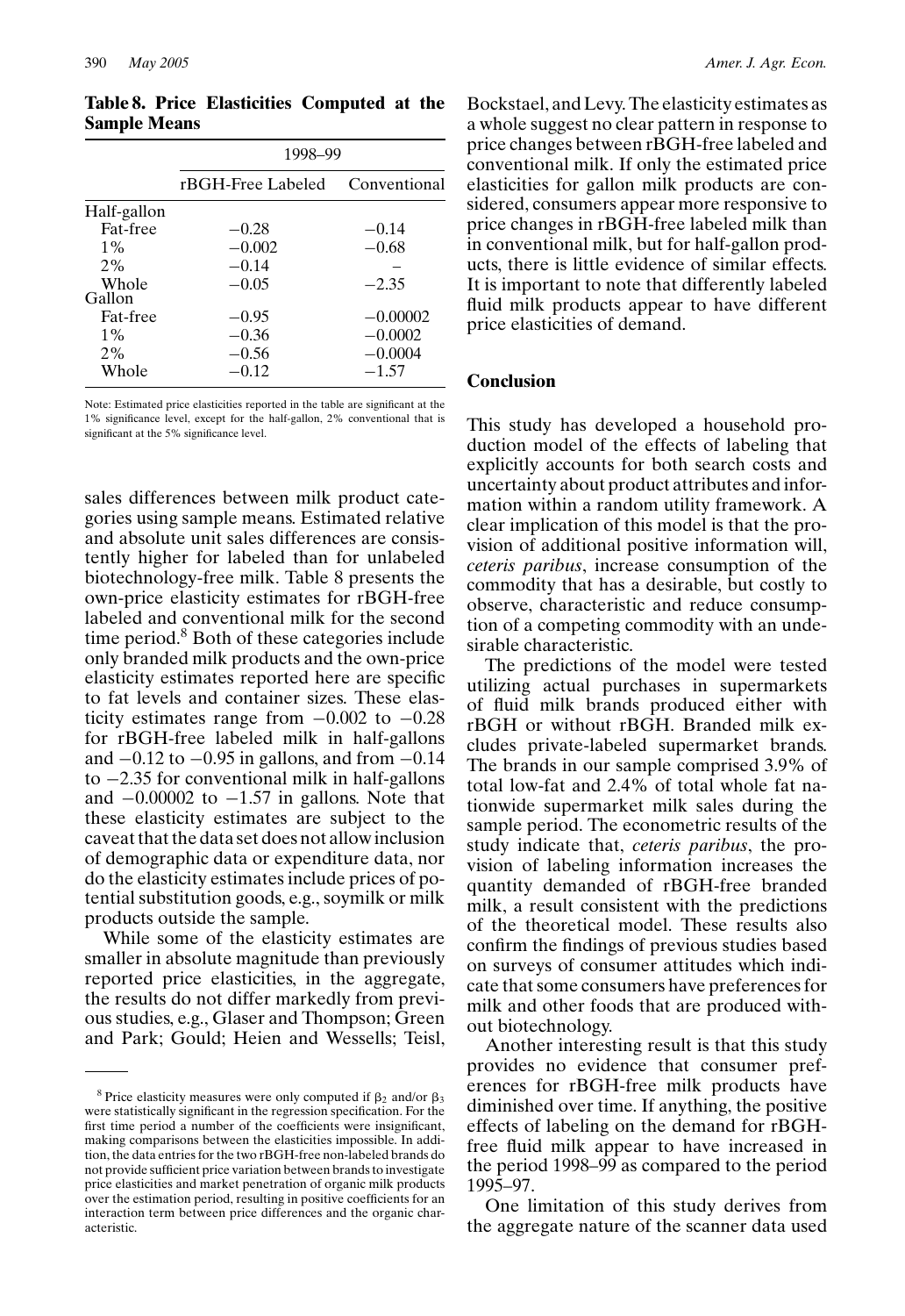|             | 1998-99           |              |
|-------------|-------------------|--------------|
|             | rBGH-Free Labeled | Conventional |
| Half-gallon |                   |              |
| Fat-free    | $-0.28$           | $-0.14$      |
| $1\%$       | $-0.002$          | $-0.68$      |
| 2%          | $-0.14$           |              |
| Whole       | $-0.05$           | $-2.35$      |
| Gallon      |                   |              |
| Fat-free    | $-0.95$           | $-0.00002$   |
| $1\%$       | $-0.36$           | $-0.0002$    |
| 2%          | $-0.56$           | $-0.0004$    |
| Whole       | $-0.12$           | $-1.57$      |

**Table 8. Price Elasticities Computed at the Sample Means**

Note: Estimated price elasticities reported in the table are significant at the 1% significance level, except for the half-gallon, 2% conventional that is significant at the 5% significance level.

sales differences between milk product categories using sample means. Estimated relative and absolute unit sales differences are consistently higher for labeled than for unlabeled biotechnology-free milk. Table 8 presents the own-price elasticity estimates for rBGH-free labeled and conventional milk for the second time period.<sup>8</sup> Both of these categories include only branded milk products and the own-price elasticity estimates reported here are specific to fat levels and container sizes. These elasticity estimates range from  $-0.002$  to  $-0.28$ for rBGH-free labeled milk in half-gallons and  $-0.12$  to  $-0.95$  in gallons, and from  $-0.14$ to −2.35 for conventional milk in half-gallons and  $-0.00002$  to  $-1.57$  in gallons. Note that these elasticity estimates are subject to the caveat that the data set does not allow inclusion of demographic data or expenditure data, nor do the elasticity estimates include prices of potential substitution goods, e.g., soymilk or milk products outside the sample.

While some of the elasticity estimates are smaller in absolute magnitude than previously reported price elasticities, in the aggregate, the results do not differ markedly from previous studies, e.g., Glaser and Thompson; Green and Park; Gould; Heien and Wessells; Teisl, Bockstael, and Levy. The elasticity estimates as a whole suggest no clear pattern in response to price changes between rBGH-free labeled and conventional milk. If only the estimated price elasticities for gallon milk products are considered, consumers appear more responsive to price changes in rBGH-free labeled milk than in conventional milk, but for half-gallon products, there is little evidence of similar effects. It is important to note that differently labeled fluid milk products appear to have different price elasticities of demand.

#### **Conclusion**

This study has developed a household production model of the effects of labeling that explicitly accounts for both search costs and uncertainty about product attributes and information within a random utility framework. A clear implication of this model is that the provision of additional positive information will, *ceteris paribus*, increase consumption of the commodity that has a desirable, but costly to observe, characteristic and reduce consumption of a competing commodity with an undesirable characteristic.

The predictions of the model were tested utilizing actual purchases in supermarkets of fluid milk brands produced either with rBGH or without rBGH. Branded milk excludes private-labeled supermarket brands. The brands in our sample comprised 3.9% of total low-fat and 2.4% of total whole fat nationwide supermarket milk sales during the sample period. The econometric results of the study indicate that, *ceteris paribus*, the provision of labeling information increases the quantity demanded of rBGH-free branded milk, a result consistent with the predictions of the theoretical model. These results also confirm the findings of previous studies based on surveys of consumer attitudes which indicate that some consumers have preferences for milk and other foods that are produced without biotechnology.

Another interesting result is that this study provides no evidence that consumer preferences for rBGH-free milk products have diminished over time. If anything, the positive effects of labeling on the demand for rBGHfree fluid milk appear to have increased in the period 1998–99 as compared to the period 1995–97.

One limitation of this study derives from the aggregate nature of the scanner data used

<sup>&</sup>lt;sup>8</sup> Price elasticity measures were only computed if  $\beta_2$  and/or  $\beta_3$ were statistically significant in the regression specification. For the first time period a number of the coefficients were insignificant, making comparisons between the elasticities impossible. In addition, the data entries for the two rBGH-free non-labeled brands do not provide sufficient price variation between brands to investigate price elasticities and market penetration of organic milk products over the estimation period, resulting in positive coefficients for an interaction term between price differences and the organic characteristic.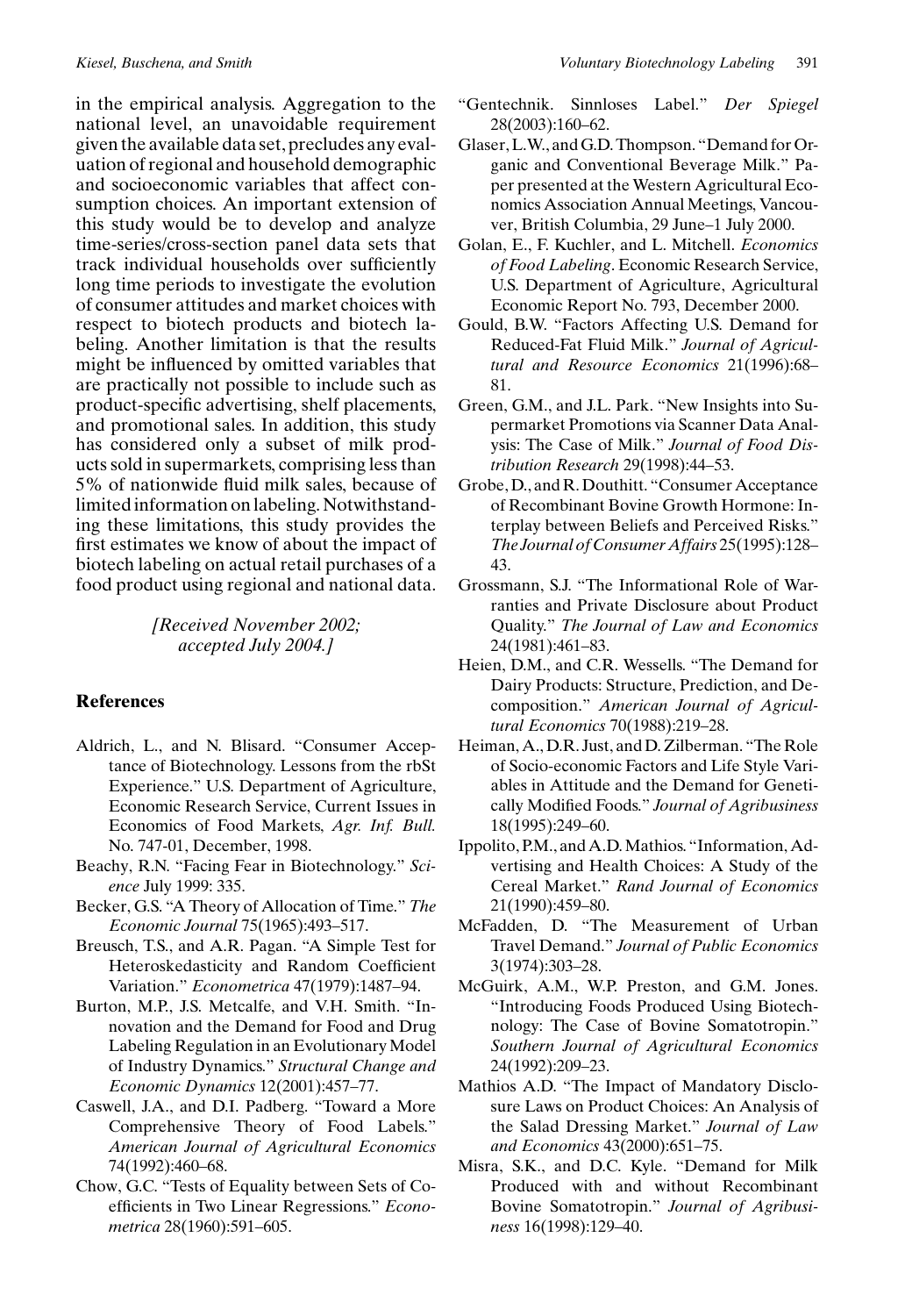in the empirical analysis. Aggregation to the national level, an unavoidable requirement given the available data set, precludes any evaluation of regional and household demographic and socioeconomic variables that affect consumption choices. An important extension of this study would be to develop and analyze time-series/cross-section panel data sets that track individual households over sufficiently long time periods to investigate the evolution of consumer attitudes and market choices with respect to biotech products and biotech labeling. Another limitation is that the results might be influenced by omitted variables that are practically not possible to include such as product-specific advertising, shelf placements, and promotional sales. In addition, this study has considered only a subset of milk products sold in supermarkets, comprising less than 5% of nationwide fluid milk sales, because of limited information on labeling. Notwithstanding these limitations, this study provides the first estimates we know of about the impact of biotech labeling on actual retail purchases of a food product using regional and national data.

> *[Received November 2002; accepted July 2004.]*

## **References**

- Aldrich, L., and N. Blisard. "Consumer Acceptance of Biotechnology. Lessons from the rbSt Experience." U.S. Department of Agriculture, Economic Research Service, Current Issues in Economics of Food Markets, *Agr. Inf. Bull.* No. 747-01, December, 1998.
- Beachy, R.N. "Facing Fear in Biotechnology." *Science* July 1999: 335.
- Becker, G.S. "A Theory of Allocation of Time." *The Economic Journal* 75(1965):493–517.
- Breusch, T.S., and A.R. Pagan. "A Simple Test for Heteroskedasticity and Random Coefficient Variation." *Econometrica* 47(1979):1487–94.
- Burton, M.P., J.S. Metcalfe, and V.H. Smith. "Innovation and the Demand for Food and Drug Labeling Regulation in an Evolutionary Model of Industry Dynamics." *Structural Change and Economic Dynamics* 12(2001):457–77.
- Caswell, J.A., and D.I. Padberg. "Toward a More Comprehensive Theory of Food Labels." *American Journal of Agricultural Economics* 74(1992):460–68.
- Chow, G.C. "Tests of Equality between Sets of Coefficients in Two Linear Regressions." *Econometrica* 28(1960):591–605.
- "Gentechnik. Sinnloses Label." *Der Spiegel* 28(2003):160–62.
- Glaser, L.W., and G.D. Thompson. "Demand for Organic and Conventional Beverage Milk." Paper presented at the Western Agricultural Economics Association Annual Meetings, Vancouver, British Columbia, 29 June–1 July 2000.
- Golan, E., F. Kuchler, and L. Mitchell. *Economics of Food Labeling*. Economic Research Service, U.S. Department of Agriculture, Agricultural Economic Report No. 793, December 2000.
- Gould, B.W. "Factors Affecting U.S. Demand for Reduced-Fat Fluid Milk." *Journal of Agricultural and Resource Economics* 21(1996):68– 81.
- Green, G.M., and J.L. Park. "New Insights into Supermarket Promotions via Scanner Data Analysis: The Case of Milk." *Journal of Food Distribution Research* 29(1998):44–53.
- Grobe, D., and R. Douthitt. "Consumer Acceptance of Recombinant Bovine Growth Hormone: Interplay between Beliefs and Perceived Risks." *The Journal of Consumer Affairs* 25(1995):128– 43.
- Grossmann, S.J. "The Informational Role of Warranties and Private Disclosure about Product Quality." *The Journal of Law and Economics* 24(1981):461–83.
- Heien, D.M., and C.R. Wessells. "The Demand for Dairy Products: Structure, Prediction, and Decomposition." *American Journal of Agricultural Economics* 70(1988):219–28.
- Heiman, A., D.R. Just, and D. Zilberman. "The Role of Socio-economic Factors and Life Style Variables in Attitude and the Demand for Genetically Modified Foods." *Journal of Agribusiness* 18(1995):249–60.
- Ippolito, P.M., and A.D. Mathios. "Information, Advertising and Health Choices: A Study of the Cereal Market." *Rand Journal of Economics* 21(1990):459–80.
- McFadden, D. "The Measurement of Urban Travel Demand." *Journal of Public Economics* 3(1974):303–28.
- McGuirk, A.M., W.P. Preston, and G.M. Jones. "Introducing Foods Produced Using Biotechnology: The Case of Bovine Somatotropin." *Southern Journal of Agricultural Economics* 24(1992):209–23.
- Mathios A.D. "The Impact of Mandatory Disclosure Laws on Product Choices: An Analysis of the Salad Dressing Market." *Journal of Law and Economics* 43(2000):651–75.
- Misra, S.K., and D.C. Kyle. "Demand for Milk Produced with and without Recombinant Bovine Somatotropin." *Journal of Agribusiness* 16(1998):129–40.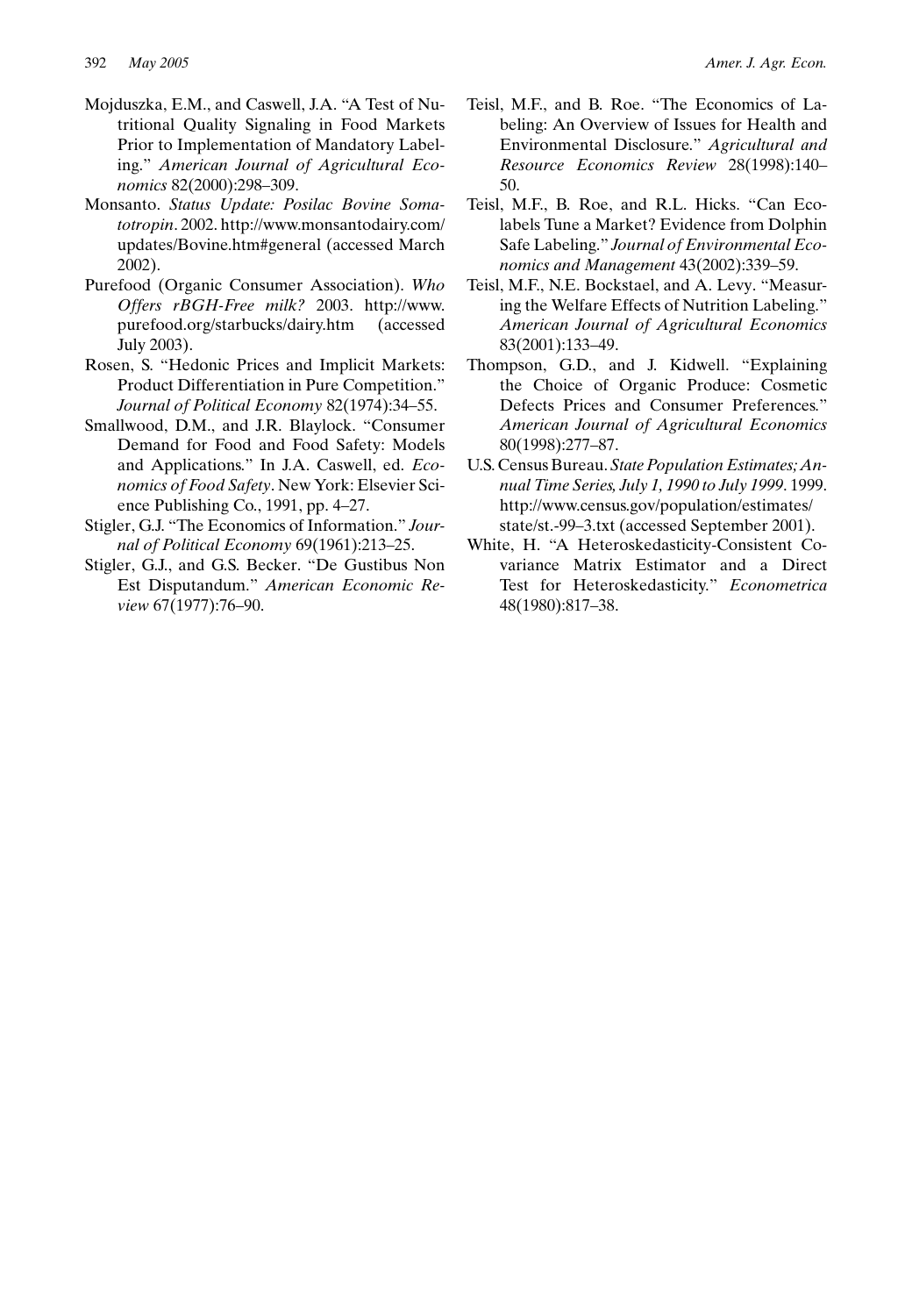- Mojduszka, E.M., and Caswell, J.A. "A Test of Nutritional Quality Signaling in Food Markets Prior to Implementation of Mandatory Labeling." *American Journal of Agricultural Economics* 82(2000):298–309.
- Monsanto. *Status Update: Posilac Bovine Somatotropin*. 2002. http://www.monsantodairy.com/ updates/Bovine.htm#general (accessed March 2002).
- Purefood (Organic Consumer Association). *Who Offers rBGH-Free milk?* 2003. http://www. purefood.org/starbucks/dairy.htm (accessed July 2003).
- Rosen, S. "Hedonic Prices and Implicit Markets: Product Differentiation in Pure Competition." *Journal of Political Economy* 82(1974):34–55.
- Smallwood, D.M., and J.R. Blaylock. "Consumer Demand for Food and Food Safety: Models and Applications." In J.A. Caswell, ed. *Economics of Food Safety*. New York: Elsevier Science Publishing Co., 1991, pp. 4–27.
- Stigler, G.J. "The Economics of Information." *Journal of Political Economy* 69(1961):213–25.
- Stigler, G.J., and G.S. Becker. "De Gustibus Non Est Disputandum." *American Economic Review* 67(1977):76–90.
- Teisl, M.F., and B. Roe. "The Economics of Labeling: An Overview of Issues for Health and Environmental Disclosure." *Agricultural and Resource Economics Review* 28(1998):140– 50.
- Teisl, M.F., B. Roe, and R.L. Hicks. "Can Ecolabels Tune a Market? Evidence from Dolphin Safe Labeling." *Journal of Environmental Economics and Management* 43(2002):339–59.
- Teisl, M.F., N.E. Bockstael, and A. Levy. "Measuring the Welfare Effects of Nutrition Labeling." *American Journal of Agricultural Economics* 83(2001):133–49.
- Thompson, G.D., and J. Kidwell. "Explaining the Choice of Organic Produce: Cosmetic Defects Prices and Consumer Preferences." *American Journal of Agricultural Economics* 80(1998):277–87.
- U.S. Census Bureau. *State Population Estimates; Annual Time Series, July 1, 1990 to July 1999*. 1999. http://www.census.gov/population/estimates/ state/st.-99–3.txt (accessed September 2001).
- White, H. "A Heteroskedasticity-Consistent Covariance Matrix Estimator and a Direct Test for Heteroskedasticity." *Econometrica* 48(1980):817–38.